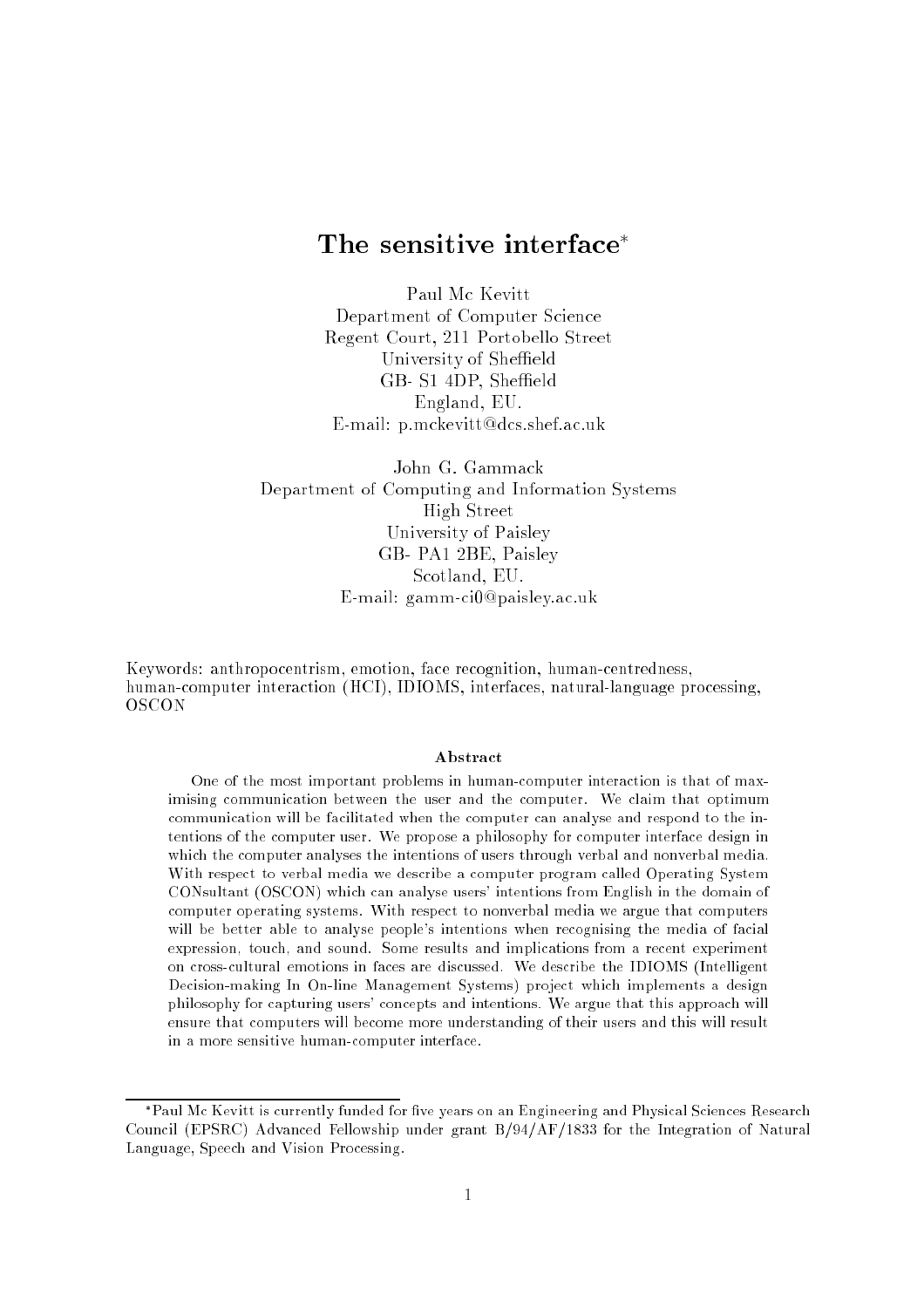# The sensitive interface

Paul Mc Kevitt Department of Computer Science Regent Court, 211 Portobello Street University of Sheffield GB- S1 4DP, Sheffield England, EU. E-mail: p.mckevitt@dcs.shef.ac.uk

John G. Gammack Department of Computing and Information Systems High Street University of Paisley GB- PA1 2BE, Paisley Scotland, EU. E-mail: gamm-ci0@paisley.ac.uk

Keywords: anthropocentrism, emotion, face recognition, human-centredness, human-computer interaction (HCI), IDIOMS, interfaces, natural-language processing, **OSCON** 

### Abstract

One of the most important problems in human-computer interaction is that of maximising communication between the user and the computer. We claim that optimum communication will be facilitated when the computer can analyse and respond to the intentions of the computer user. We propose a philosophy for computer interface design in which the computer analyses the intentions of users through verbal and nonverbal media. With respect to verbal media we describe a computer program called Operating System CONsultant (OSCON) which can analyse users' intentions from English in the domain of computer operating systems. With respect to nonverbal media we argue that computers will be better able to analyse people's intentions when recognising the media of facial expression, touch, and sound. Some results and implications from a recent experiment on cross-cultural emotions in faces are discussed. We describe the IDIOMS (Intelligent Decision-making In On-line Management Systems) project which implements a design philosophy for capturing users' concepts and intentions. We argue that this approach will ensure that computers will become more understanding of their users and this will result in a more sensitive human-computer interface.

Paul Mc Kevitt is currently funded for ve years on an Engineering and Physical Sciences Research Council (EPSRC) Advanced Fellowship under grant B/94/AF/1833 for the Integration of Natural Language, Speech and Vision Processing.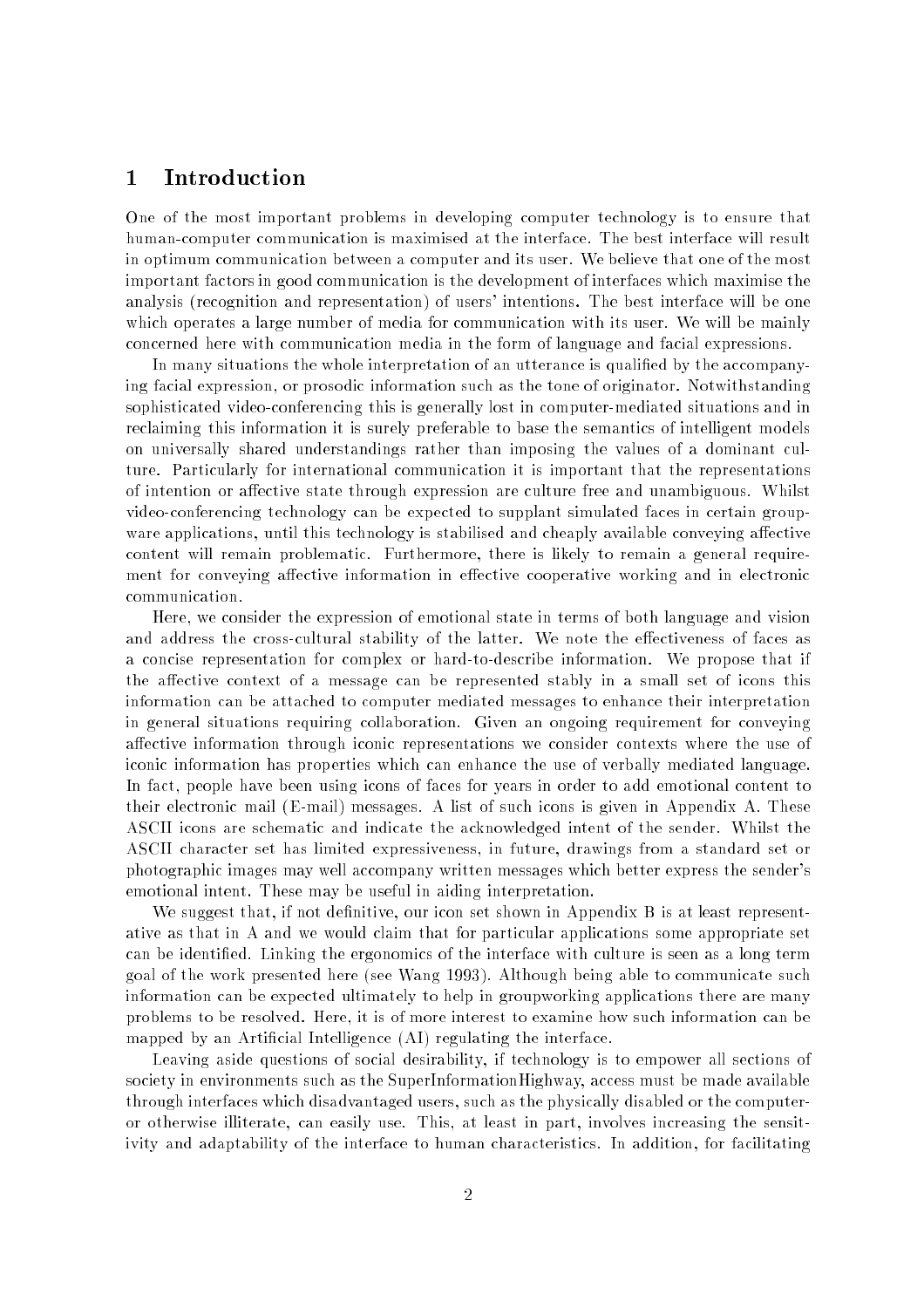### 1 Introduction

One of the most important problems in developing computer technology is to ensure that human-computer communication is maximised at the interface. The best interface will result in optimum communication between a computer and its user. We believe that one of the most important factors in good communication is the development of interfaces which maximise the analysis (recognition and representation) of users' intentions. The best interface will be one which operates a large number of media for communication with its user. We will be mainly concerned here with communication media in the form of language and facial expressions.

In many situations the whole interpretation of an utterance is qualified by the accompanying facial expression, or prosodic information such as the tone of originator. Notwithstanding sophisticated video-conferencing this is generally lost in computer-mediated situations and in reclaiming this information it is surely preferable to base the semantics of intelligent models on universally shared understandings rather than imposing the values of a dominant culture. Particularly for international communication it is important that the representations of intention or affective state through expression are culture free and unambiguous. Whilst video-conferencing technology can be expected to supplant simulated faces in certain groupware applications, until this technology is stabilised and cheaply available conveying affective content will remain problematic. Furthermore, there is likely to remain a general requirement for conveying affective information in effective cooperative working and in electronic communication.

Here, we consider the expression of emotional state in terms of both language and vision and address the cross-cultural stability of the latter. We note the effectiveness of faces as a concise representation for complex or hard-to-describe information. We propose that if the affective context of a message can be represented stably in a small set of icons this information can be attached to computer mediated messages to enhance their interpretation in general situations requiring collaboration. Given an ongoing requirement for conveying affective information through iconic representations we consider contexts where the use of iconic information has properties which can enhance the use of verbally mediated language. In fact, people have been using icons of faces for years in order to add emotional content to their electronic mail (E-mail) messages. A list of such icons is given in Appendix A. These ASCII icons are schematic and indicate the acknowledged intent of the sender. Whilst the ASCII character set has limited expressiveness, in future, drawings from a standard set or photographic images may well accompany written messages which better express the sender's emotional intent. These may be useful in aiding interpretation.

We suggest that, if not definitive, our icon set shown in Appendix  $B$  is at least representative as that in A and we would claim that for particular applications some appropriate set can be identied. Linking the ergonomics of the interface with culture is seen as a long term goal of the work presented here (see Wang 1993). Although being able to communicate such information can be expected ultimately to help in groupworking applications there are many problems to be resolved. Here, it is of more interest to examine how such information can be mapped by an Artificial Intelligence (AI) regulating the interface.

Leaving aside questions of social desirability, if technology is to empower all sections of society in environments such as the SuperInformationHighway, access must be made available through interfaces which disadvantaged users, such as the physically disabled or the computeror otherwise illiterate, can easily use. This, at least in part, involves increasing the sensitivity and adaptability of the interface to human characteristics. In addition, for facilitating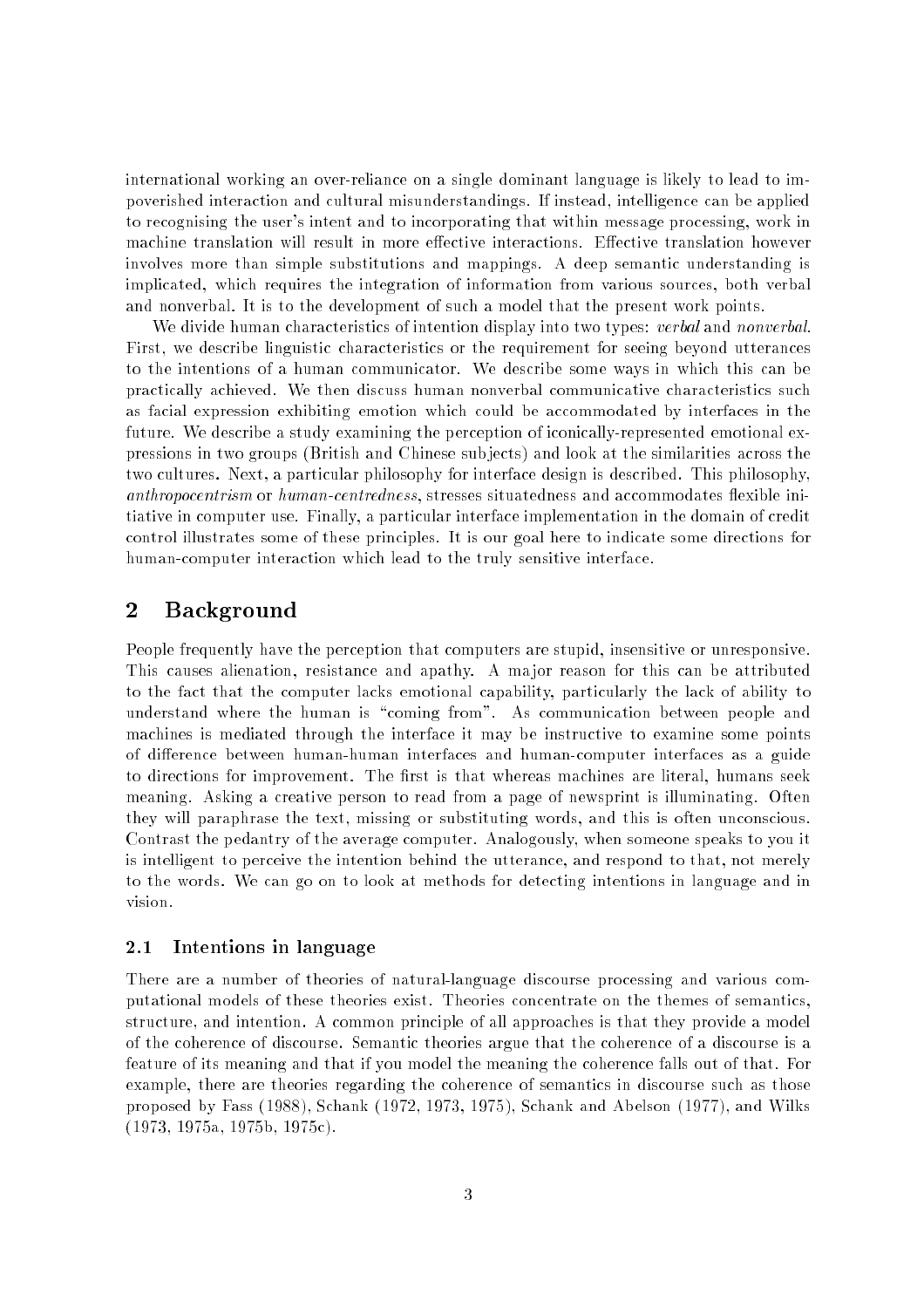international working an over-reliance on a single dominant language is likely to lead to impoverished interaction and cultural misunderstandings. If instead, intelligence can be applied to recognising the user's intent and to incorporating that within message processing, work in machine translation will result in more effective interactions. Effective translation however involves more than simple substitutions and mappings. A deep semantic understanding is implicated, which requires the integration of information from various sources, both verbal and nonverbal. It is to the development of such a model that the present work points.

We divide human characteristics of intention display into two types: verbal and nonverbal. First, we describe linguistic characteristics or the requirement for seeing beyond utterances to the intentions of a human communicator. We describe some ways in which this can be practically achieved. We then discuss human nonverbal communicative characteristics such as facial expression exhibiting emotion which could be accommodated by interfaces in the future. We describe a study examining the perception of iconically-represented emotional expressions in two groups (British and Chinese sub jects) and look at the similarities across the two cultures. Next, a particular philosophy for interface design is described. This philosophy, anthropocentrism or human-centredness, stresses situatedness and accommodates flexible initiative in computer use. Finally, a particular interface implementation in the domain of credit control illustrates some of these principles. It is our goal here to indicate some directions for human-computer interaction which lead to the truly sensitive interface.

### 2 Background

People frequently have the perception that computers are stupid, insensitive or unresponsive. This causes alienation, resistance and apathy. A ma jor reason for this can be attributed to the fact that the computer lacks emotional capability, particularly the lack of ability to understand where the human is "coming from". As communication between people and machines is mediated through the interface it may be instructive to examine some points of difference between human-human interfaces and human-computer interfaces as a guide to directions for improvement. The first is that whereas machines are literal, humans seek meaning. Asking a creative person to read from a page of newsprint is illuminating. Often they will paraphrase the text, missing or substituting words, and this is often unconscious. Contrast the pedantry of the average computer. Analogously, when someone speaks to you it is intelligent to perceive the intention behind the utterance, and respond to that, not merely to the words. We can go on to look at methods for detecting intentions in language and in vision.

#### 2.1Intentions in language

There are a number of theories of natural-language discourse processing and various computational models of these theories exist. Theories concentrate on the themes of semantics, structure, and intention. A common principle of all approaches is that they provide a model of the coherence of discourse. Semantic theories argue that the coherence of a discourse is a feature of its meaning and that if you model the meaning the coherence falls out of that. For example, there are theories regarding the coherence of semantics in discourse such as those proposed by Fass (1988), Schank (1972, 1973, 1975), Schank and Abelson (1977), and Wilks (1973, 1975a, 1975b, 1975c).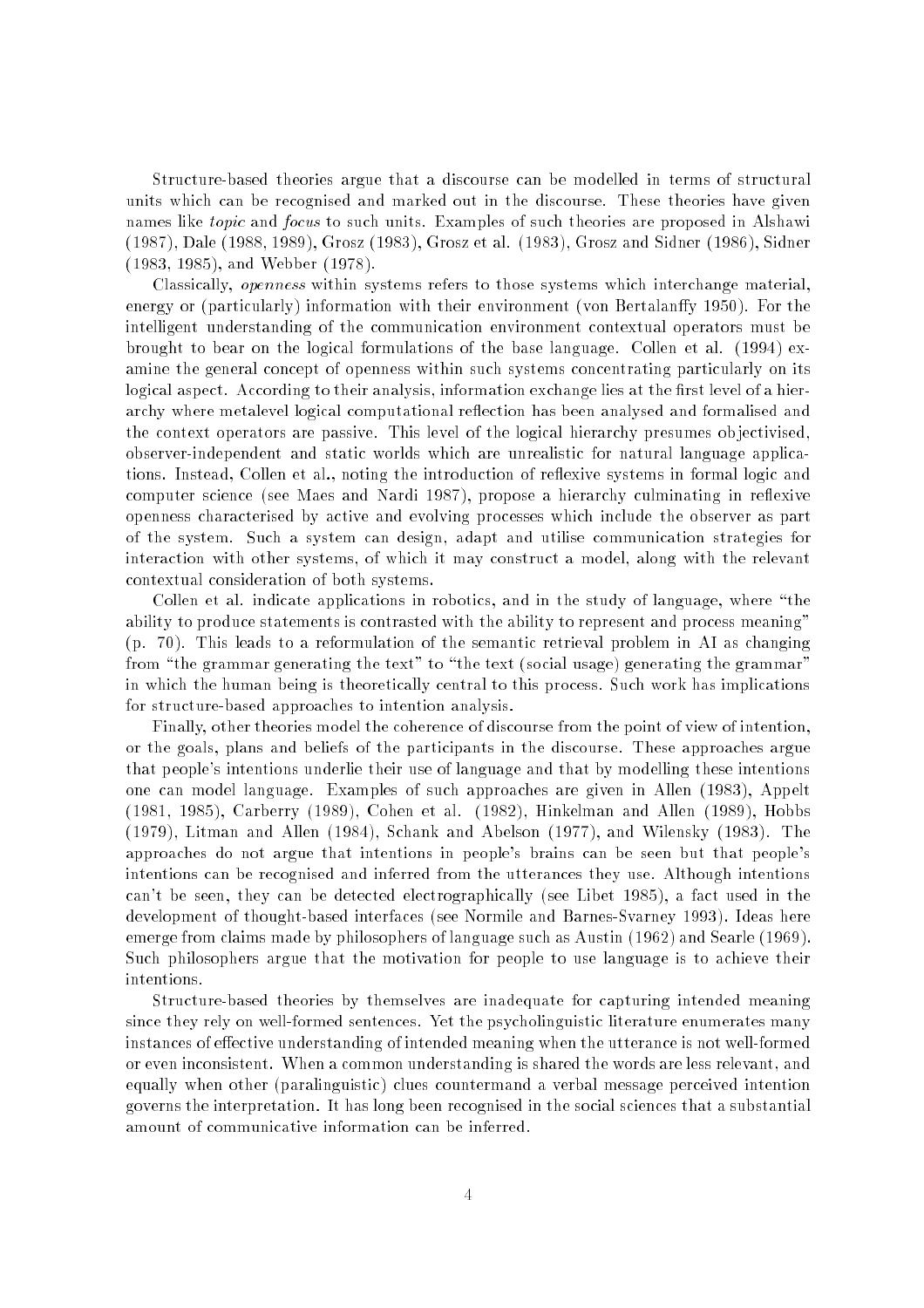Structure-based theories argue that a discourse can be modelled in terms of structural units which can be recognised and marked out in the discourse. These theories have given names like *topic* and *focus* to such units. Examples of such theories are proposed in Alshawi (1987), Dale (1988, 1989), Grosz (1983), Grosz et al. (1983), Grosz and Sidner (1986), Sidner (1983, 1985), and Webber (1978).

Classically, openness within systems refers to those systems which interchange material, energy or (particularly) information with their environment (von Bertalanffy 1950). For the intelligent understanding of the communication environment contextual operators must be brought to bear on the logical formulations of the base language. Collen et al. (1994) examine the general concept of openness within such systems concentrating particularly on its logical aspect. According to their analysis, information exchange lies at the first level of a hierarchy where metalevel logical computational reflection has been analysed and formalised and the context operators are passive. This level of the logical hierarchy presumes ob jectivised, observer-independent and static worlds which are unrealistic for natural language applications. Instead, Collen et al., noting the introduction of reflexive systems in formal logic and computer science (see Maes and Nardi 1987), propose a hierarchy culminating in reflexive openness characterised by active and evolving processes which include the observer as part of the system. Such a system can design, adapt and utilise communication strategies for interaction with other systems, of which it may construct a model, along with the relevant contextual consideration of both systems.

Collen et al. indicate applications in robotics, and in the study of language, where "the ability to produce statements is contrasted with the ability to represent and process meaning" (p. 70). This leads to a reformulation of the semantic retrieval problem in AI as changing from "the grammar generating the text" to "the text (social usage) generating the grammar" in which the human being is theoretically central to this process. Such work has implications for structure-based approaches to intention analysis.

Finally, other theories model the coherence of discourse from the point of view of intention, or the goals, plans and beliefs of the participants in the discourse. These approaches argue that people's intentions underlie their use of language and that by modelling these intentions one can model language. Examples of such approaches are given in Allen (1983), Appelt (1981, 1985), Carberry (1989), Cohen et al. (1982), Hinkelman and Allen (1989), Hobbs (1979), Litman and Allen (1984), Schank and Abelson (1977), and Wilensky (1983). The approaches do not argue that intentions in people's brains can be seen but that people's intentions can be recognised and inferred from the utterances they use. Although intentions can't be seen, they can be detected electrographically (see Libet 1985), a fact used in the development of thought-based interfaces (see Normile and Barnes-Svarney 1993). Ideas here emerge from claims made by philosophers of language such as Austin (1962) and Searle (1969). Such philosophers argue that the motivation for people to use language is to achieve their intentions.

Structure-based theories by themselves are inadequate for capturing intended meaning since they rely on well-formed sentences. Yet the psycholinguistic literature enumerates many instances of effective understanding of intended meaning when the utterance is not well-formed or even inconsistent. When a common understanding is shared the words are less relevant, and equally when other (paralinguistic) clues countermand a verbal message perceived intention governs the interpretation. It has long been recognised in the social sciences that a substantial amount of communicative information can be inferred.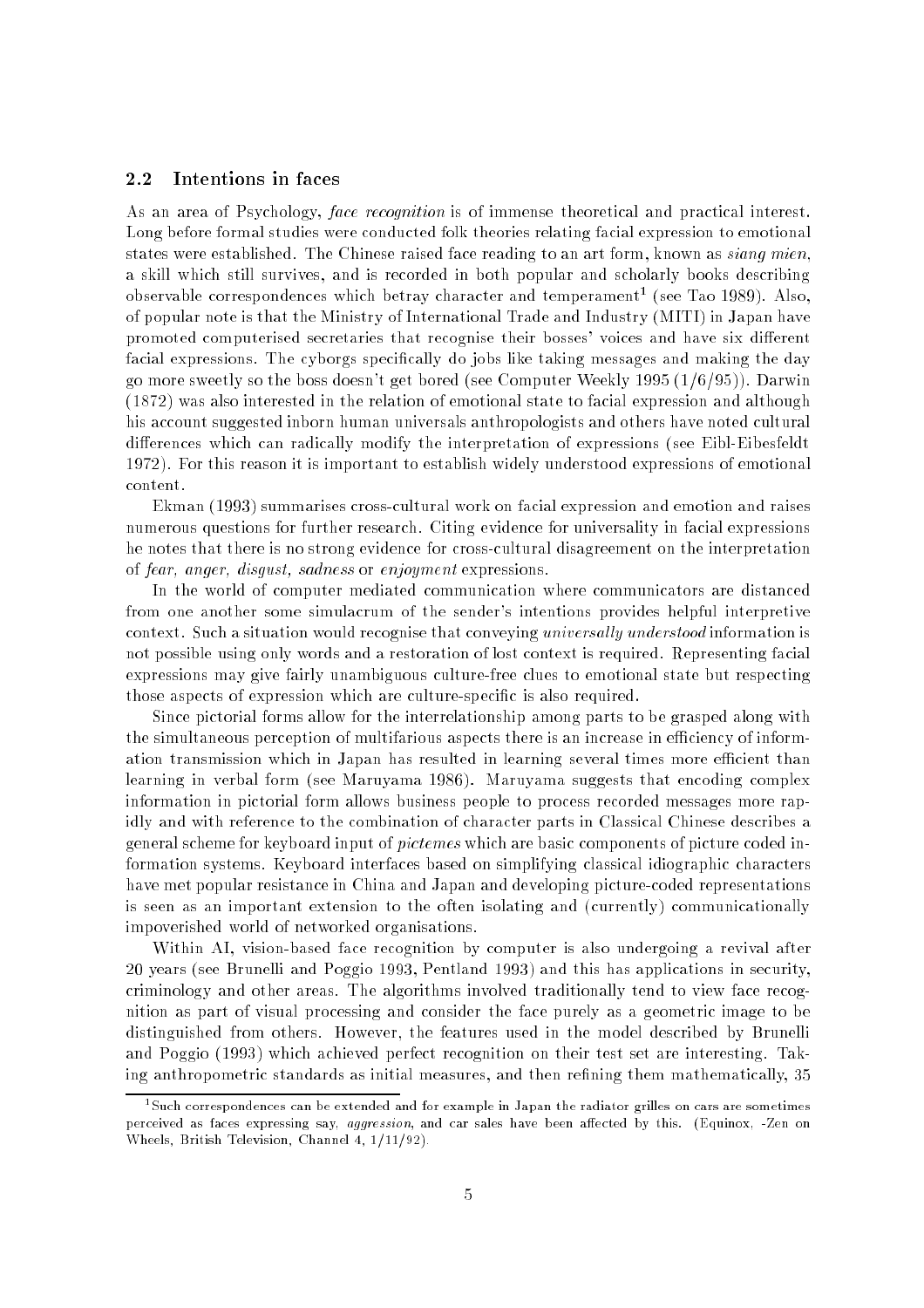#### 2.2Intentions in faces

As an area of Psychology, face recognition is of immense theoretical and practical interest. Long before formal studies were conducted folk theories relating facial expression to emotional states were established. The Chinese raised face reading to an art form, known as *siang mien*, a skill which still survives, and is recorded in both popular and scholarly books describing observable correspondences which betray character and temperament 1 (see Tao 1989). Also, of popular note is that the Ministry of International Trade and Industry (MITI) in Japan have promoted computerised secretaries that recognise their bosses' voices and have six different facial expressions. The cyborgs specically do jobs like taking messages and making the day go more sweetly so the boss doesn't get bored (see Computer Weekly 1995 (1/6/95)). Darwin (1872) was also interested in the relation of emotional state to facial expression and although his account suggested inborn human universals anthropologists and others have noted cultural differences which can radically modify the interpretation of expressions (see Eibl-Eibesfeldt 1972). For this reason it is important to establish widely understood expressions of emotional content.

Ekman (1993) summarises cross-cultural work on facial expression and emotion and raises numerous questions for further research. Citing evidence for universality in facial expressions he notes that there is no strong evidence for cross-cultural disagreement on the interpretation of fear, anger, disgust, sadness or enjoyment expressions.

In the world of computer mediated communication where communicators are distanced from one another some simulacrum of the sender's intentions provides helpful interpretive context. Such a situation would recognise that conveying *universally understood* information is not possible using only words and a restoration of lost context is required. Representing facial expressions may give fairly unambiguous culture-free clues to emotional state but respecting those aspects of expression which are culture-specic is also required.

Since pictorial forms allow for the interrelationship among parts to be grasped along with the simultaneous perception of multifarious aspects there is an increase in efficiency of information transmission which in Japan has resulted in learning several times more efficient than learning in verbal form (see Maruyama 1986). Maruyama suggests that encoding complex information in pictorial form allows business people to process recorded messages more rapidly and with reference to the combination of character parts in Classical Chinese describes a general scheme for keyboard input of pictemes which are basic components of picture coded information systems. Keyboard interfaces based on simplifying classical idiographic characters have met popular resistance in China and Japan and developing picture-coded representations is seen as an important extension to the often isolating and (currently) communicationally impoverished world of networked organisations.

Within AI, vision-based face recognition by computer is also undergoing a revival after 20 years (see Brunelli and Poggio 1993, Pentland 1993) and this has applications in security, criminology and other areas. The algorithms involved traditionally tend to view face recognition as part of visual processing and consider the face purely as a geometric image to be distinguished from others. However, the features used in the model described by Brunelli and Poggio (1993) which achieved perfect recognition on their test set are interesting. Taking anthropometric standards as initial measures, and then refining them mathematically, 35

<sup>1</sup> Such correspondences can be extended and for example in Japan the radiator grilles on cars are sometimes perceived as faces expressing say, *aggression*, and car sales have been affected by this. (Equinox, -Zen on Wheels, British Television, Channel 4, 1/11/92).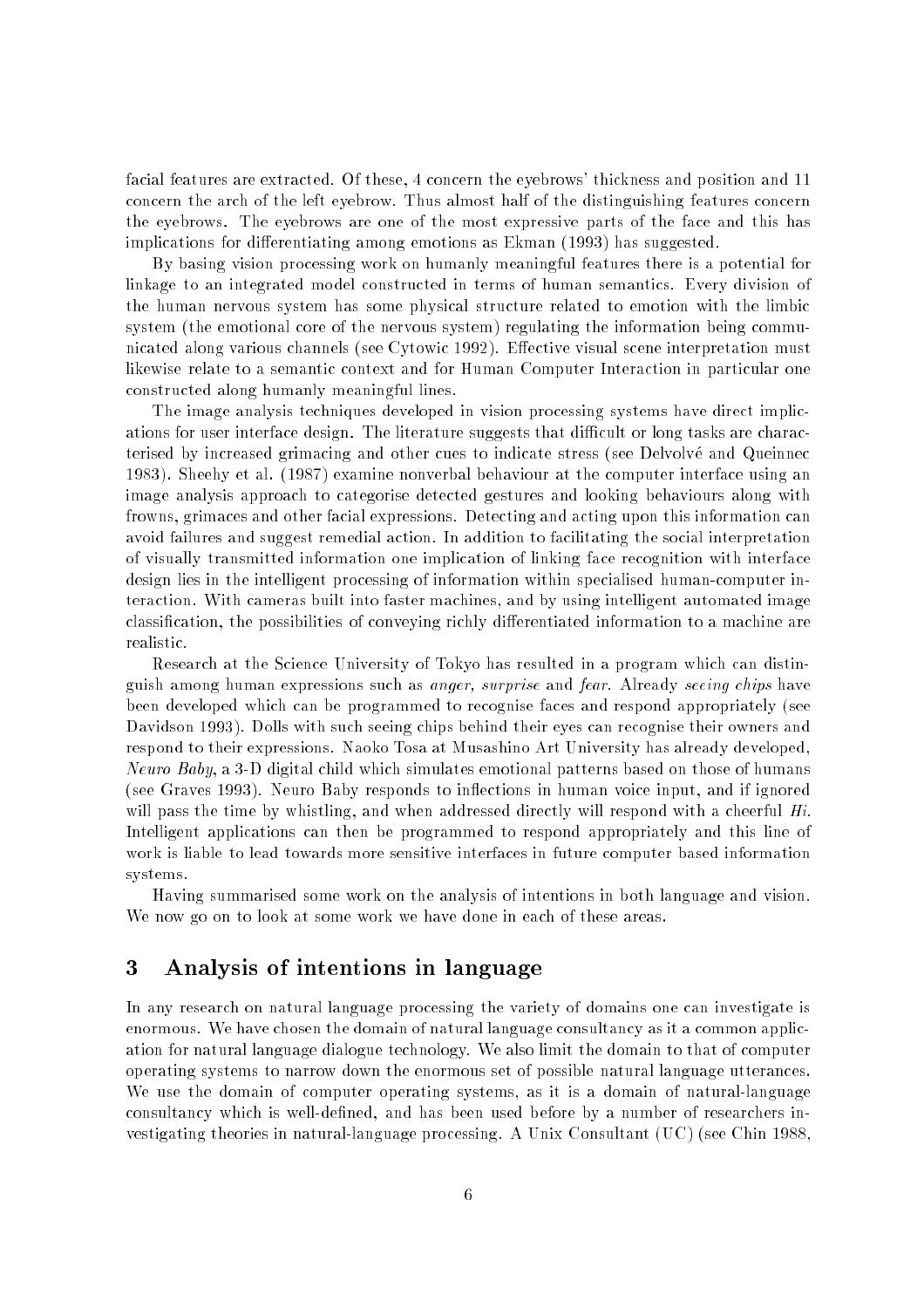facial features are extracted. Of these, 4 concern the eyebrows' thickness and position and 11 concern the arch of the left eyebrow. Thus almost half of the distinguishing features concern the eyebrows. The eyebrows are one of the most expressive parts of the face and this has implications for differentiating among emotions as Ekman (1993) has suggested.

By basing vision processing work on humanly meaningful features there is a potential for linkage to an integrated model constructed in terms of human semantics. Every division of the human nervous system has some physical structure related to emotion with the limbic system (the emotional core of the nervous system) regulating the information being communicated along various channels (see Cytowic 1992). Effective visual scene interpretation must likewise relate to a semantic context and for Human Computer Interaction in particular one constructed along humanly meaningful lines.

The image analysis techniques developed in vision processing systems have direct implications for user interface design. The literature suggests that difficult or long tasks are characterised by increased grimacing and other cues to indicate stress (see Delvolve and Queinnec 1983). Sheehy et al. (1987) examine nonverbal behaviour at the computer interface using an image analysis approach to categorise detected gestures and looking behaviours along with frowns, grimaces and other facial expressions. Detecting and acting upon this information can avoid failures and suggest remedial action. In addition to facilitating the social interpretation of visually transmitted information one implication of linking face recognition with interface design lies in the intelligent processing of information within specialised human-computer interaction. With cameras built into faster machines, and by using intelligent automated image classification, the possibilities of conveying richly differentiated information to a machine are realistic.

Research at the Science University of Tokyo has resulted in a program which can distinguish among human expressions such as anger, surprise and fear. Already seeing chips have been developed which can be programmed to recognise faces and respond appropriately (see Davidson 1993). Dolls with such seeing chips behind their eyes can recognise their owners and respond to their expressions. Naoko Tosa at Musashino Art University has already developed, Neuro Baby, a 3-D digital child which simulates emotional patterns based on those of humans (see Graves 1993). Neuro Baby responds to in
ections in human voice input, and if ignored will pass the time by whistling, and when addressed directly will respond with a cheerful  $Hi$ . Intelligent applications can then be programmed to respond appropriately and this line of work is liable to lead towards more sensitive interfaces in future computer based information systems.

Having summarised some work on the analysis of intentions in both language and vision. We now go on to look at some work we have done in each of these areas.

## 3 Analysis of intentions in language

In any research on natural language processing the variety of domains one can investigate is enormous. We have chosen the domain of natural language consultancy as it a common application for natural language dialogue technology. We also limit the domain to that of computer operating systems to narrow down the enormous set of possible natural language utterances. We use the domain of computer operating systems, as it is a domain of natural-language consultancy which is well-defined, and has been used before by a number of researchers investigating theories in natural-language processing. A Unix Consultant (UC) (see Chin 1988,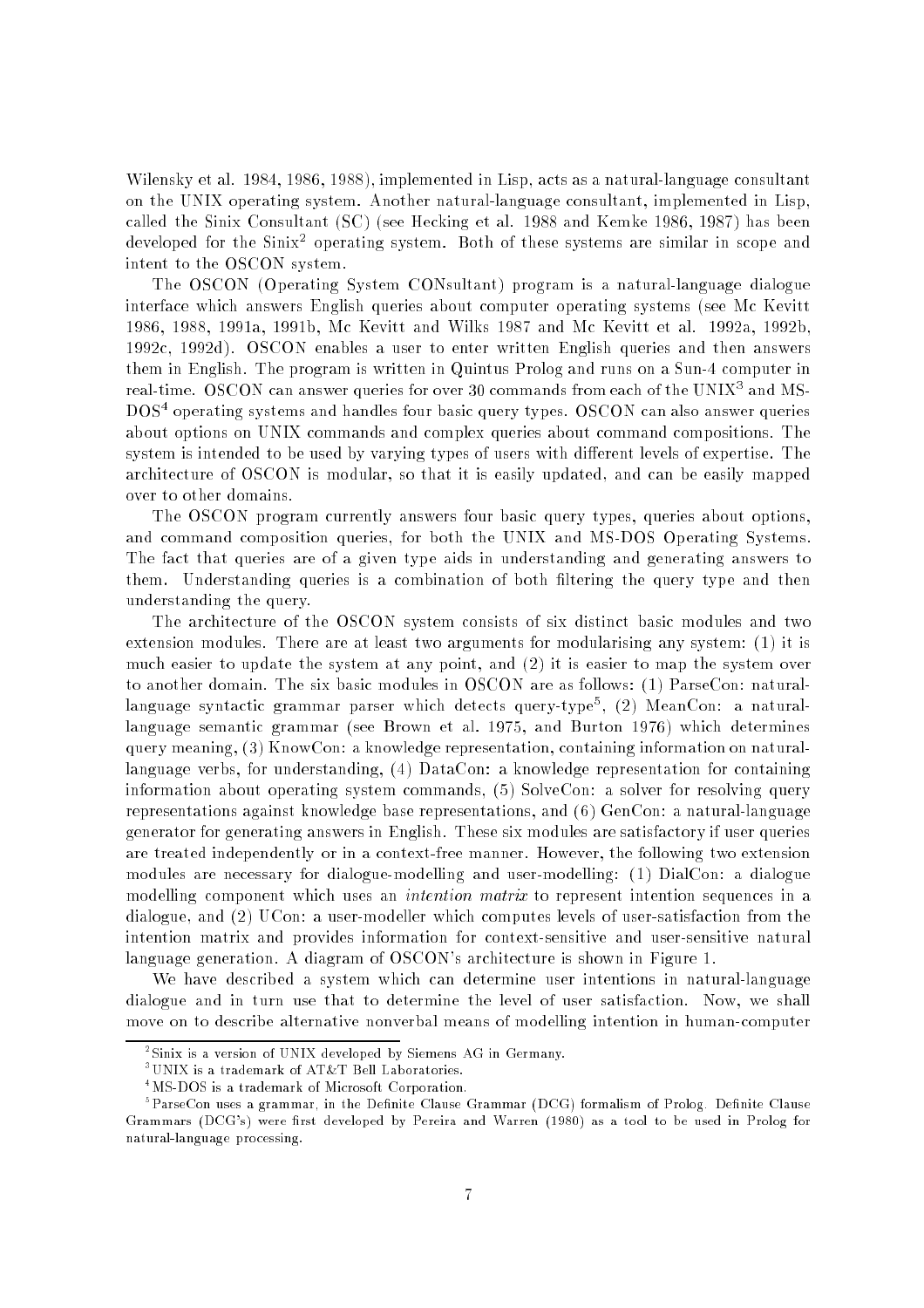Wilensky et al. 1984, 1986, 1988), implemented in Lisp, acts as a natural-language consultant on the UNIX operating system. Another natural-language consultant, implemented in Lisp, called the Sinix Consultant (SC) (see Hecking et al. 1988 and Kemke 1986, 1987) has been developed for the Sinix- operating system. Both of these systems are similar in scope and intent to the OSCON system.

The OSCON (Operating System CONsultant) program is a natural-language dialogue interface which answers English queries about computer operating systems (see Mc Kevitt 1986, 1988, 1991a, 1991b, Mc Kevitt and Wilks 1987 and Mc Kevitt et al. 1992a, 1992b, 1992c, 1992d). OSCON enables a user to enter written English queries and then answers them in English. The program is written in Quintus Prolog and runs on a Sun-4 computer in real-time. OSCON can answer queries for over 30 commands from each of the UNIX" and MS-DOS4 operating systems and handles four basic query types. OSCON can also answer queries about options on UNIX commands and complex queries about command compositions. The system is intended to be used by varying types of users with different levels of expertise. The architecture of OSCON is modular, so that it is easily updated, and can be easily mapped over to other domains.

The OSCON program currently answers four basic query types, queries about options, and command composition queries, for both the UNIX and MS-DOS Operating Systems. The fact that queries are of a given type aids in understanding and generating answers to them. Understanding queries is a combination of both ltering the query type and then understanding the query.

The architecture of the OSCON system consists of six distinct basic modules and two extension modules. There are at least two arguments for modularising any system: (1) it is much easier to update the system at any point, and (2) it is easier to map the system over to another domain. The six basic modules in OSCON are as follows: (1) ParseCon: naturallanguage syntactic grammar parser which detects query-type5 , (2) MeanCon: a naturallanguage semantic grammar (see Brown et al. 1975, and Burton 1976) which determines query meaning, (3) KnowCon: a knowledge representation, containing information on naturallanguage verbs, for understanding, (4) DataCon: a knowledge representation for containing information about operating system commands, (5) SolveCon: a solver for resolving query representations against knowledge base representations, and (6) GenCon: a natural-language generator for generating answers in English. These six modules are satisfactory if user queries are treated independently or in a context-free manner. However, the following two extension modules are necessary for dialogue-modelling and user-modelling: (1) DialCon: a dialogue modelling component which uses an *intention matrix* to represent intention sequences in a dialogue, and (2) UCon: a user-modeller which computes levels of user-satisfaction from the intention matrix and provides information for context-sensitive and user-sensitive natural language generation. A diagram of OSCON's architecture is shown in Figure 1.

We have described a system which can determine user intentions in natural-language dialogue and in turn use that to determine the level of user satisfaction. Now, we shall move on to describe alternative nonverbal means of modelling intention in human-computer

<sup>2</sup> Sinix is a version of UNIX developed by Siemens AG in Germany.

 $\lceil$  UNIX is a trademark of AT&T Bell Laboratories.

<sup>4</sup>MS-DOS is a trademark of Microsoft Corporation.

<sup>5</sup> ParseCon uses a grammar, in the Denite Clause Grammar (DCG) formalism of Prolog. Denite Clause Grammars (DCG's) were first developed by Pereira and Warren (1980) as a tool to be used in Prolog for natural-language processing.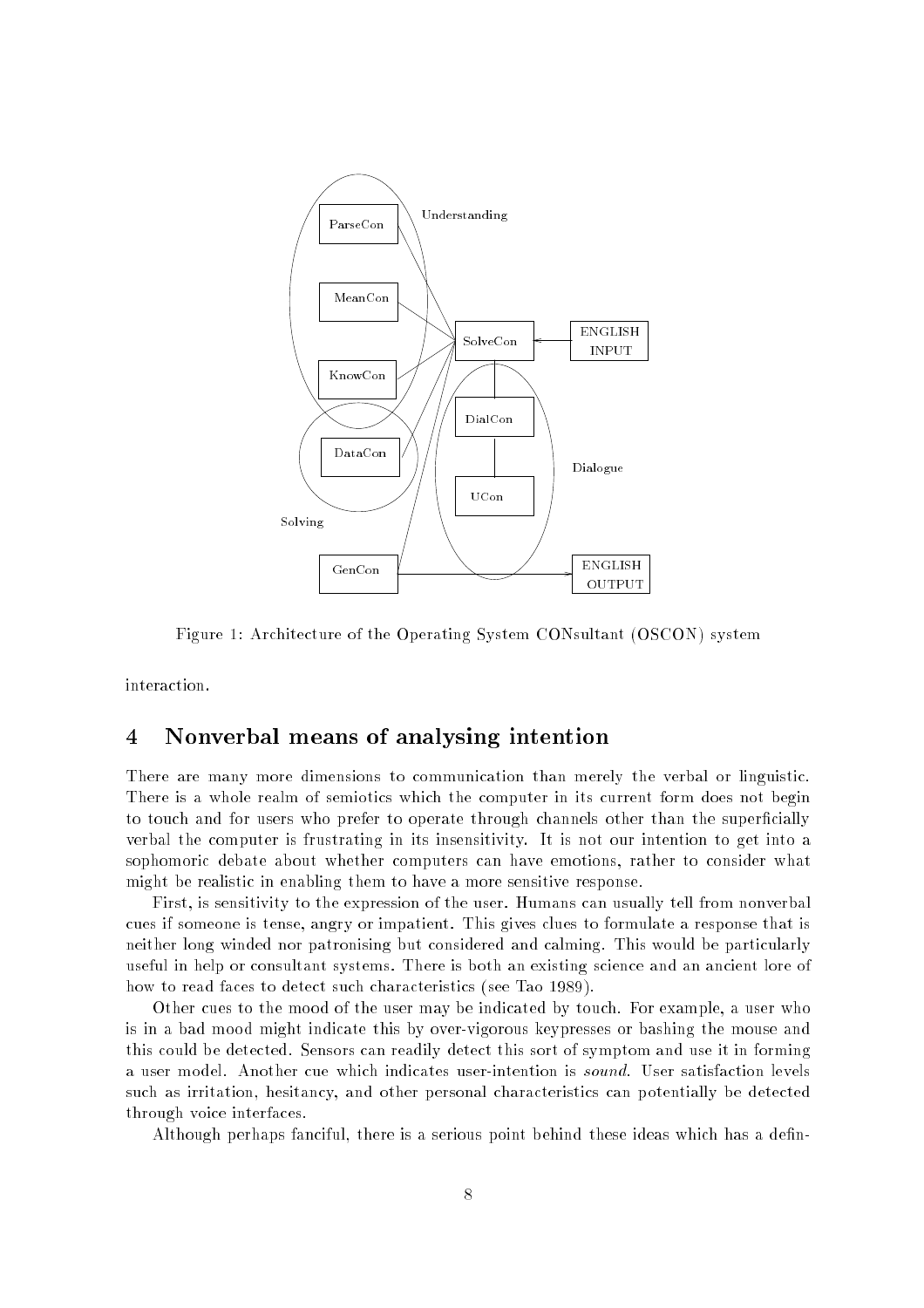

Figure 1: Architecture of the Operating System CONsultant (OSCON) system

interaction.

### $\overline{4}$ 4 Nonverbal means of analysing intention

There are many more dimensions to communication than merely the verbal or linguistic. There is a whole realm of semiotics which the computer in its current form does not begin to touch and for users who prefer to operate through channels other than the superficially verbal the computer is frustrating in its insensitivity. It is not our intention to get into a sophomoric debate about whether computers can have emotions, rather to consider what might be realistic in enabling them to have a more sensitive response.

First, is sensitivity to the expression of the user. Humans can usually tell from nonverbal cues if someone is tense, angry or impatient. This gives clues to formulate a response that is neither long winded nor patronising but considered and calming. This would be particularly useful in help or consultant systems. There is both an existing science and an ancient lore of how to read faces to detect such characteristics (see Tao 1989).

Other cues to the mood of the user may be indicated by touch. For example, a user who is in a bad mood might indicate this by over-vigorous keypresses or bashing the mouse and this could be detected. Sensors can readily detect this sort of symptom and use it in forming a user model. Another cue which indicates user-intention is sound. User satisfaction levels such as irritation, hesitancy, and other personal characteristics can potentially be detected through voice interfaces.

Although perhaps fanciful, there is a serious point behind these ideas which has a den-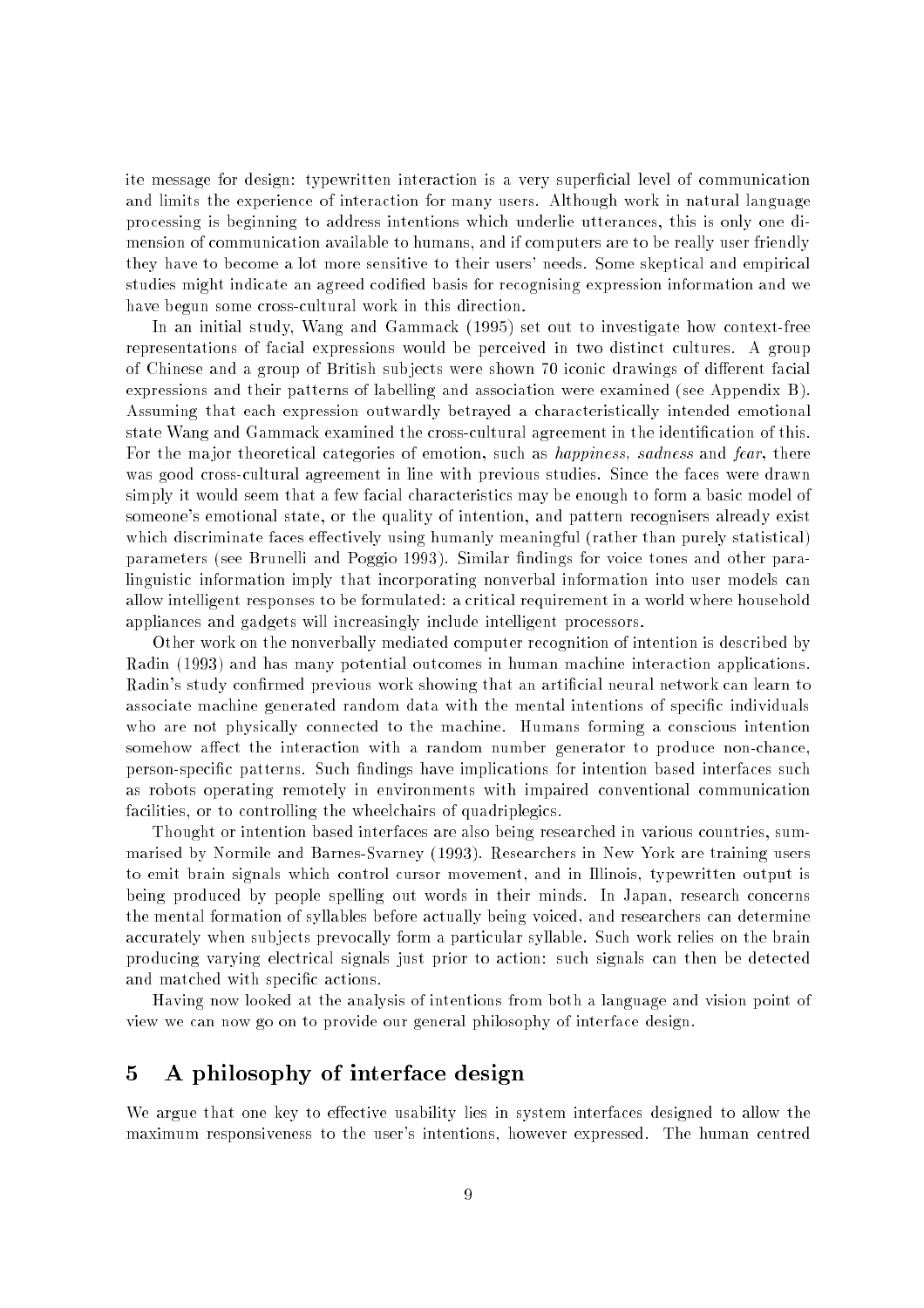ite message for design: typewritten interaction is a very superficial level of communication and limits the experience of interaction for many users. Although work in natural language processing is beginning to address intentions which underlie utterances, this is only one dimension of communication available to humans, and if computers are to be really user friendly they have to become a lot more sensitive to their users' needs. Some skeptical and empirical studies might indicate an agreed codied basis for recognising expression information and we have begun some cross-cultural work in this direction.

In an initial study, Wang and Gammack (1995) set out to investigate how context-free representations of facial expressions would be perceived in two distinct cultures. A group of Chinese and a group of British subjects were shown 70 iconic drawings of different facial expressions and their patterns of labelling and association were examined (see Appendix B). Assuming that each expression outwardly betrayed a characteristically intended emotional state Wang and Gammack examined the cross-cultural agreement in the identication of this. For the major theoretical categories of emotion, such as *happiness*, *sadness* and *fear*, there was good cross-cultural agreement in line with previous studies. Since the faces were drawn simply it would seem that a few facial characteristics may be enough to form a basic model of someone's emotional state, or the quality of intention, and pattern recognisers already exist which discriminate faces effectively using humanly meaningful (rather than purely statistical) parameters (see Brunelli and Poggio 1993). Similar findings for voice tones and other paralinguistic information imply that incorporating nonverbal information into user models can allow intelligent responses to be formulated: a critical requirement in a world where household appliances and gadgets will increasingly include intelligent processors.

Other work on the nonverbally mediated computer recognition of intention is described by Radin (1993) and has many potential outcomes in human machine interaction applications. Radin's study confirmed previous work showing that an artificial neural network can learn to associate machine generated random data with the mental intentions of specic individuals who are not physically connected to the machine. Humans forming a conscious intention somehow affect the interaction with a random number generator to produce non-chance, person-specific patterns. Such findings have implications for intention based interfaces such as robots operating remotely in environments with impaired conventional communication facilities, or to controlling the wheelchairs of quadriplegics.

Thought or intention based interfaces are also being researched in various countries, summarised by Normile and Barnes-Svarney (1993). Researchers in New York are training users to emit brain signals which control cursor movement, and in Illinois, typewritten output is being produced by people spelling out words in their minds. In Japan, research concerns the mental formation of syllables before actually being voiced, and researchers can determine accurately when sub jects prevocally form a particular syllable. Such work relies on the brain producing varying electrical signals just prior to action: such signals can then be detected and matched with specific actions.

Having now looked at the analysis of intentions from both a language and vision point of view we can now go on to provide our general philosophy of interface design.

### 5 A philosophy of interface design

We argue that one key to effective usability lies in system interfaces designed to allow the maximum responsiveness to the user's intentions, however expressed. The human centred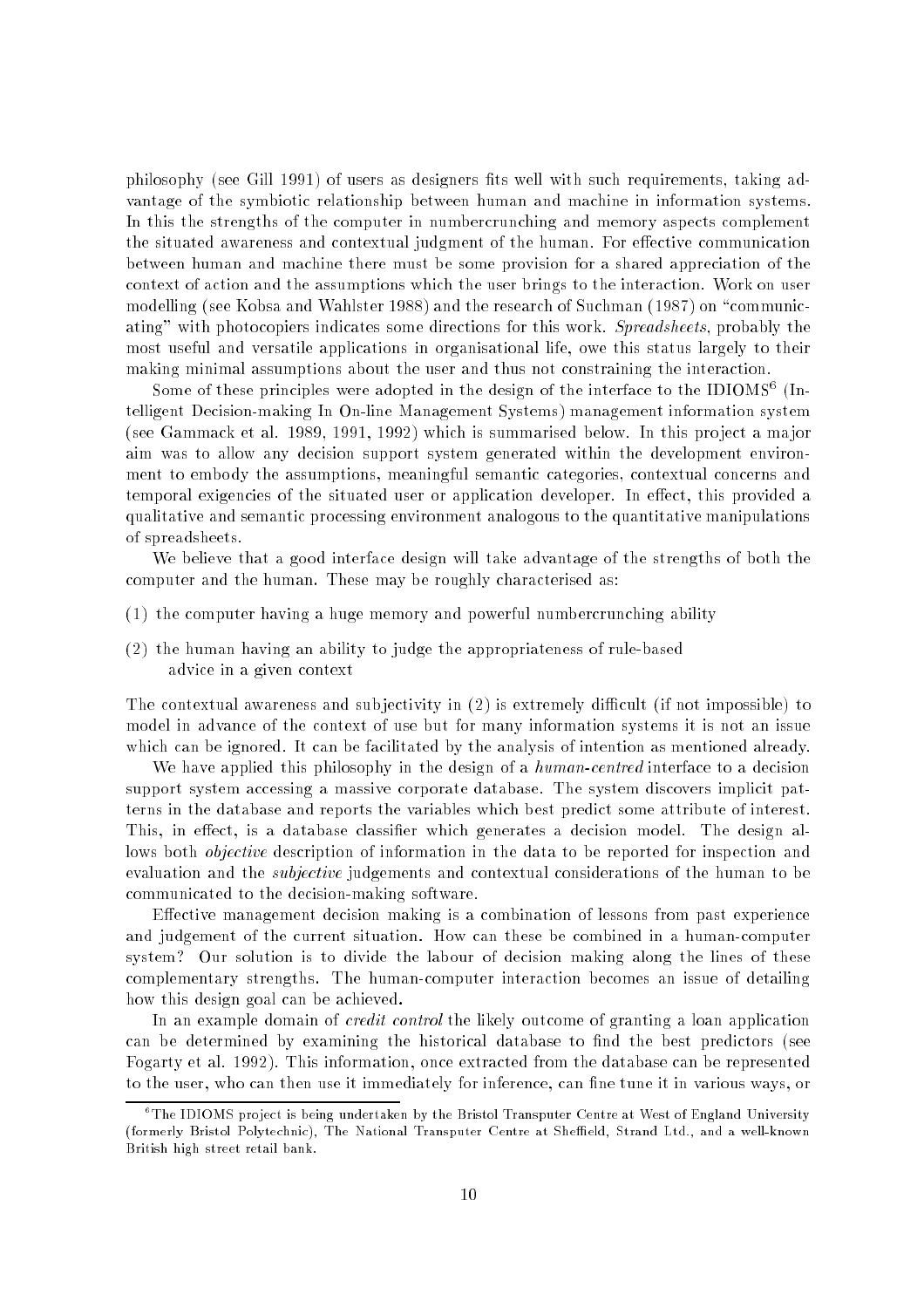philosophy (see Gill 1991) of users as designers fits well with such requirements, taking advantage of the symbiotic relationship between human and machine in information systems. In this the strengths of the computer in numbercrunching and memory aspects complement the situated awareness and contextual judgment of the human. For effective communication between human and machine there must be some provision for a shared appreciation of the context of action and the assumptions which the user brings to the interaction. Work on user modelling (see Kobsa and Wahlster 1988) and the research of Suchman (1987) on "communicating" with photocopiers indicates some directions for this work. Spreadsheets, probably the most useful and versatile applications in organisational life, owe this status largely to their making minimal assumptions about the user and thus not constraining the interaction.

Some of these principles were adopted in the design of the interface to the IDIOMS\* (Intelligent Decision-making In On-line Management Systems) management information system (see Gammack et al. 1989, 1991, 1992) which is summarised below. In this project a major aim was to allow any decision support system generated within the development environment to embody the assumptions, meaningful semantic categories, contextual concerns and temporal exigencies of the situated user or application developer. In effect, this provided a qualitative and semantic processing environment analogous to the quantitative manipulations of spreadsheets.

We believe that a good interface design will take advantage of the strengths of both the computer and the human. These may be roughly characterised as:

- (1) the computer having a huge memory and powerful numbercrunching ability
- (2) the human having an ability to judge the appropriateness of rule-based advice in a given context

The contextual awareness and subjectivity in  $(2)$  is extremely difficult (if not impossible) to model in advance of the context of use but for many information systems it is not an issue which can be ignored. It can be facilitated by the analysis of intention as mentioned already.

We have applied this philosophy in the design of a *human-centred* interface to a decision support system accessing a massive corporate database. The system discovers implicit patterns in the database and reports the variables which best predict some attribute of interest. This, in effect, is a database classifier which generates a decision model. The design allows both *objective* description of information in the data to be reported for inspection and evaluation and the *subjective* judgements and contextual considerations of the human to be communicated to the decision-making software.

Effective management decision making is a combination of lessons from past experience and judgement of the current situation. How can these be combined in a human-computer system? Our solution is to divide the labour of decision making along the lines of these complementary strengths. The human-computer interaction becomes an issue of detailing how this design goal can be achieved.

In an example domain of *credit control* the likely outcome of granting a loan application can be determined by examining the historical database to find the best predictors (see Fogarty et al. 1992). This information, once extracted from the database can be represented to the user, who can then use it immediately for inference, can fine tune it in various ways, or

The IDIOMS project is being undertaken by the Bristol Transputer Centre at West of England University -(formerly Bristol Polytechnic), The National Transputer Centre at Sheffield, Strand Ltd., and a well-known British high street retail bank.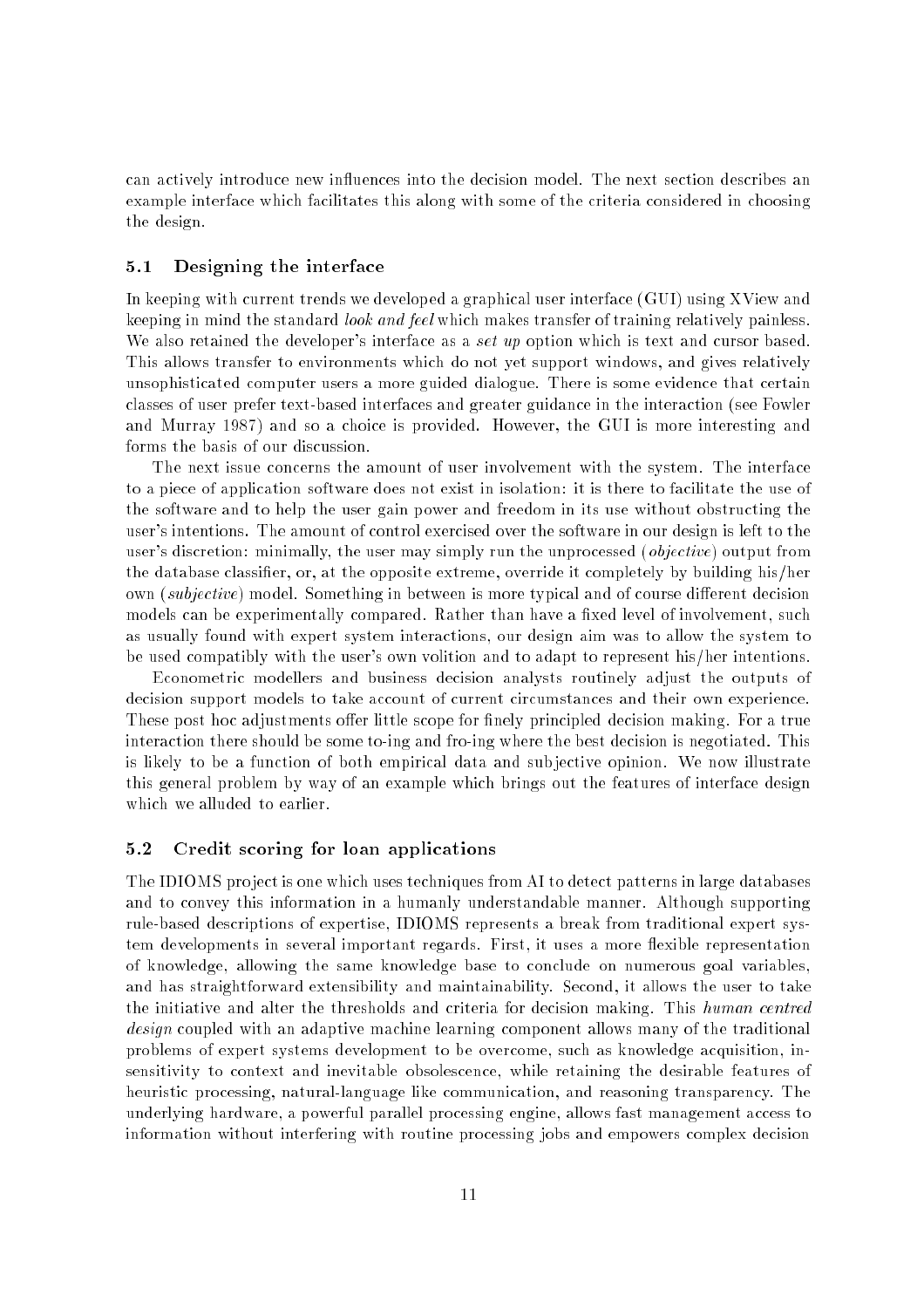can actively introduce new influences into the decision model. The next section describes an example interface which facilitates this along with some of the criteria considered in choosing the design.

#### 5.1Designing the interface

In keeping with current trends we developed a graphical user interface (GUI) using XView and keeping in mind the standard look and feel which makes transfer of training relatively painless. We also retained the developer's interface as a set up option which is text and cursor based. This allows transfer to environments which do not yet support windows, and gives relatively unsophisticated computer users a more guided dialogue. There is some evidence that certain classes of user prefer text-based interfaces and greater guidance in the interaction (see Fowler and Murray 1987) and so a choice is provided. However, the GUI is more interesting and forms the basis of our discussion.

The next issue concerns the amount of user involvement with the system. The interface to a piece of application software does not exist in isolation: it is there to facilitate the use of the software and to help the user gain power and freedom in its use without obstructing the user's intentions. The amount of control exercised over the software in our design is left to the user's discretion: minimally, the user may simply run the unprocessed (*objective*) output from the database classifier, or, at the opposite extreme, override it completely by building his/her own (*subjective*) model. Something in between is more typical and of course different decision models can be experimentally compared. Rather than have a fixed level of involvement, such as usually found with expert system interactions, our design aim was to allow the system to be used compatibly with the user's own volition and to adapt to represent his/her intentions.

Econometric modellers and business decision analysts routinely adjust the outputs of decision support models to take account of current circumstances and their own experience. These post hoc adjustments offer little scope for finely principled decision making. For a true interaction there should be some to-ing and fro-ing where the best decision is negotiated. This is likely to be a function of both empirical data and sub jective opinion. We now illustrate this general problem by way of an example which brings out the features of interface design which we alluded to earlier.

#### 5.2Credit scoring for loan applications

The IDIOMS pro ject is one which uses techniques from AI to detect patterns in large databases and to convey this information in a humanly understandable manner. Although supporting rule-based descriptions of expertise, IDIOMS represents a break from traditional expert system developments in several important regards. First, it uses a more flexible representation of knowledge, allowing the same knowledge base to conclude on numerous goal variables, and has straightforward extensibility and maintainability. Second, it allows the user to take the initiative and alter the thresholds and criteria for decision making. This human centred design coupled with an adaptive machine learning component allows many of the traditional problems of expert systems development to be overcome, such as knowledge acquisition, insensitivity to context and inevitable obsolescence, while retaining the desirable features of heuristic processing, natural-language like communication, and reasoning transparency. The underlying hardware, a powerful parallel processing engine, allows fast management access to information without interfering with routine processing jobs and empowers complex decision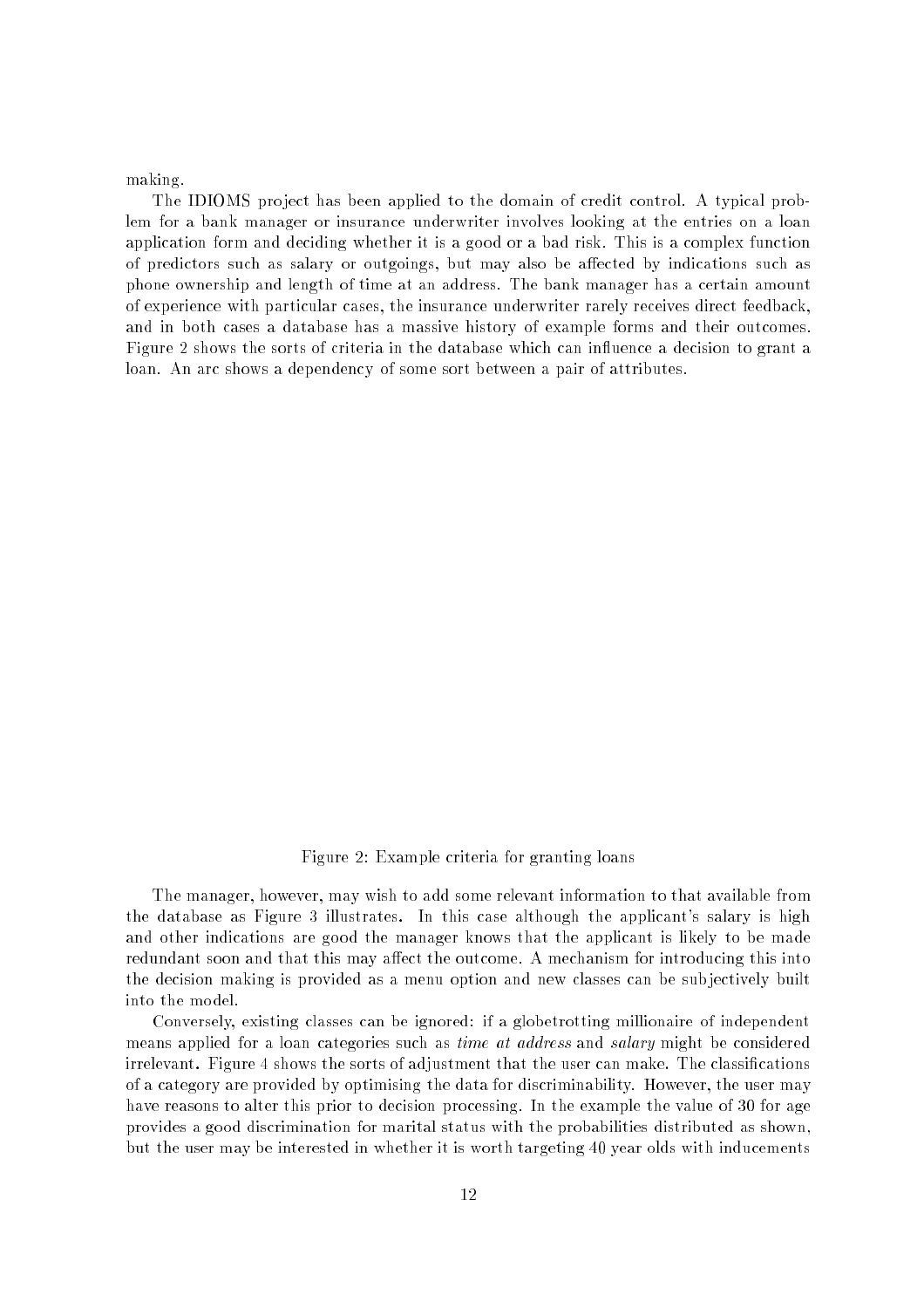making.

The IDIOMS pro ject has been applied to the domain of credit control. A typical problem for a bank manager or insurance underwriter involves looking at the entries on a loan application form and deciding whether it is a good or a bad risk. This is a complex function of predictors such as salary or outgoings, but may also be affected by indications such as phone ownership and length of time at an address. The bank manager has a certain amount of experience with particular cases, the insurance underwriter rarely receives direct feedback, and in both cases a database has a massive history of example forms and their outcomes. Figure 2 shows the sorts of criteria in the database which can in
uence a decision to grant a loan. An arc shows a dependency of some sort between a pair of attributes.

### Figure 2: Example criteria for granting loans

The manager, however, may wish to add some relevant information to that available from the database as Figure 3 illustrates. In this case although the applicant's salary is high and other indications are good the manager knows that the applicant is likely to be made redundant soon and that this may affect the outcome. A mechanism for introducing this into the decision making is provided as a menu option and new classes can be subjectively built into the model.

Conversely, existing classes can be ignored: if a globetrotting millionaire of independent means applied for a loan categories such as time at address and salary might be considered irrelevant. Figure 4 shows the sorts of adjustment that the user can make. The classications of a category are provided by optimising the data for discriminability. However, the user may have reasons to alter this prior to decision processing. In the example the value of 30 for age provides a good discrimination for marital status with the probabilities distributed as shown, but the user may be interested in whether it is worth targeting 40 year olds with inducements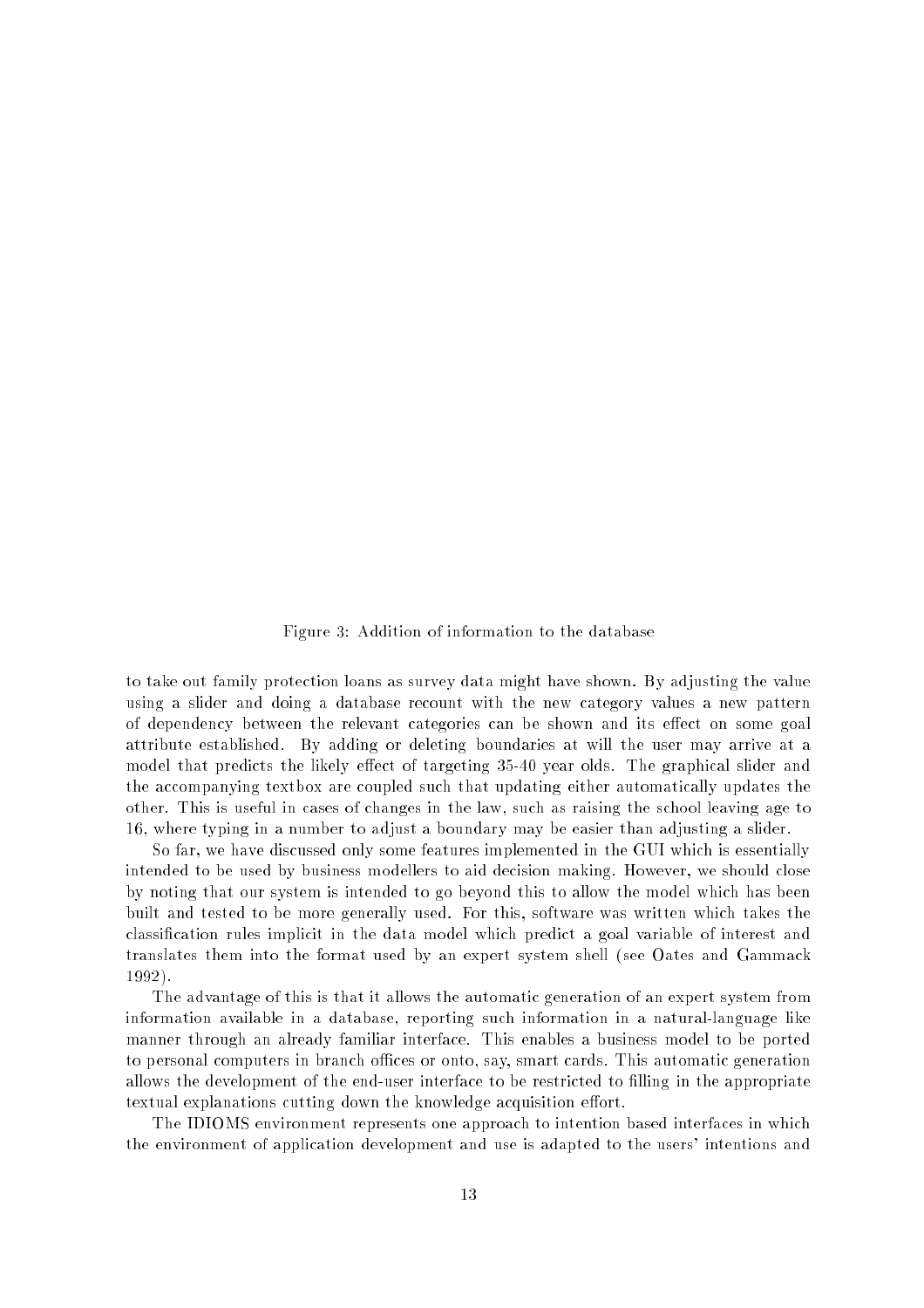Figure 3: Addition of information to the database

to take out family protection loans as survey data might have shown. By adjusting the value using a slider and doing a database recount with the new category values a new pattern of dependency between the relevant categories can be shown and its effect on some goal attribute established. By adding or deleting boundaries at will the user may arrive at a model that predicts the likely effect of targeting 35-40 year olds. The graphical slider and the accompanying textbox are coupled such that updating either automatically updates the other. This is useful in cases of changes in the law, such as raising the school leaving age to 16, where typing in a number to adjust a boundary may be easier than adjusting a slider.

So far, we have discussed only some features implemented in the GUI which is essentially intended to be used by business modellers to aid decision making. However, we should close by noting that our system is intended to go beyond this to allow the model which has been built and tested to be more generally used. For this, software was written which takes the classication rules implicit in the data model which predict a goal variable of interest and translates them into the format used by an expert system shell (see Oates and Gammack 1992).

The advantage of this is that it allows the automatic generation of an expert system from information available in a database, reporting such information in a natural-language like manner through an already familiar interface. This enables a business model to be ported to personal computers in branch offices or onto, say, smart cards. This automatic generation allows the development of the end-user interface to be restricted to filling in the appropriate textual explanations cutting down the knowledge acquisition effort.

The IDIOMS environment represents one approach to intention based interfaces in which the environment of application development and use is adapted to the users' intentions and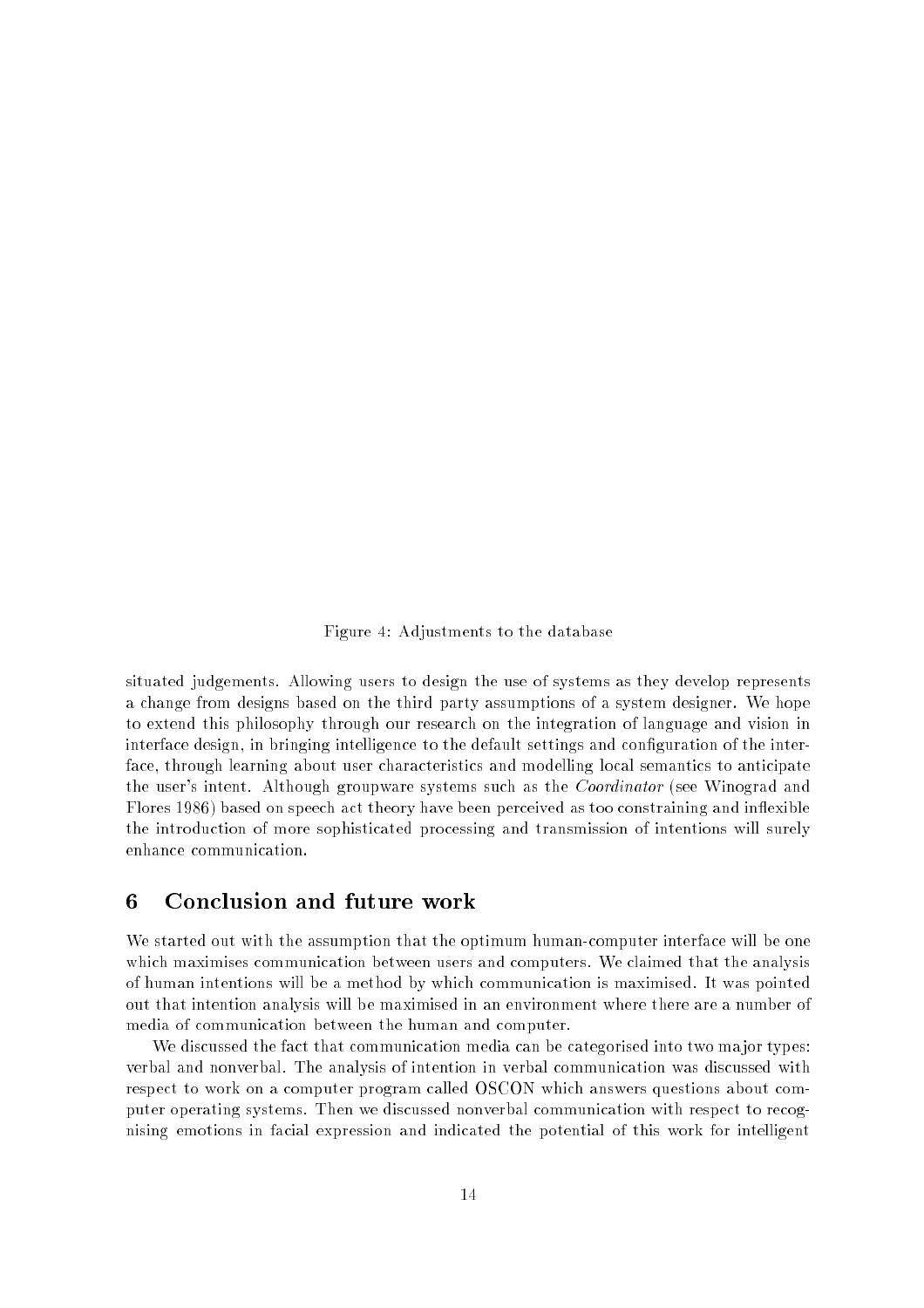Figure 4: Adjustments to the database

situated judgements. Allowing users to design the use of systems as they develop represents a change from designs based on the third party assumptions of a system designer. We hope to extend this philosophy through our research on the integration of language and vision in interface design, in bringing intelligence to the default settings and configuration of the interface, through learning about user characteristics and modelling local semantics to anticipate the user's intent. Although groupware systems such as the *Coordinator* (see Winograd and Flores 1986) based on speech act theory have been perceived as too constraining and inflexible the introduction of more sophisticated processing and transmission of intentions will surely enhance communication.

We started out with the assumption that the optimum human-computer interface will be one which maximises communication between users and computers. We claimed that the analysis of human intentions will be a method by which communication is maximised. It was pointed out that intention analysis will be maximised in an environment where there are a number of media of communication between the human and computer.

We discussed the fact that communication media can be categorised into two major types: verbal and nonverbal. The analysis of intention in verbal communication was discussed with respect to work on a computer program called OSCON which answers questions about computer operating systems. Then we discussed nonverbal communication with respect to recognising emotions in facial expression and indicated the potential of this work for intelligent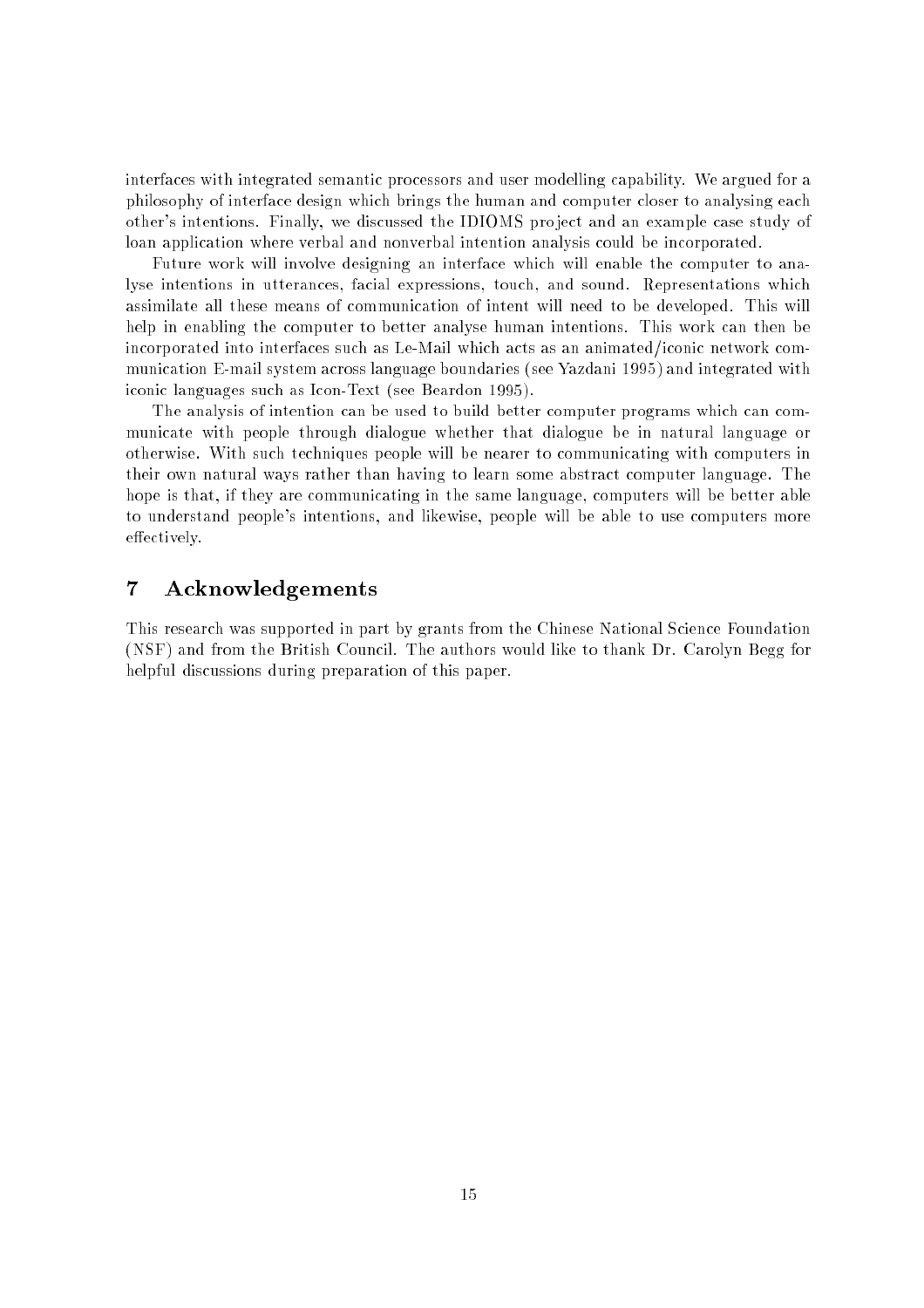interfaces with integrated semantic processors and user modelling capability. We argued for a philosophy of interface design which brings the human and computer closer to analysing each other's intentions. Finally, we discussed the IDIOMS project and an example case study of loan application where verbal and nonverbal intention analysis could be incorporated.

Future work will involve designing an interface which will enable the computer to analyse intentions in utterances, facial expressions, touch, and sound. Representations which assimilate all these means of communication of intent will need to be developed. This will help in enabling the computer to better analyse human intentions. This work can then be incorporated into interfaces such as Le-Mail which acts as an animated/iconic network communication E-mail system across language boundaries (see Yazdani 1995) and integrated with iconic languages such as Icon-Text (see Beardon 1995).

The analysis of intention can be used to build better computer programs which can communicate with people through dialogue whether that dialogue be in natural language or otherwise. With such techniques people will be nearer to communicating with computers in their own natural ways rather than having to learn some abstract computer language. The hope is that, if they are communicating in the same language, computers will be better able to understand people's intentions, and likewise, people will be able to use computers more effectively.

### 7 Acknowledgements

This research was supported in part by grants from the Chinese National Science Foundation (NSF) and from the British Council. The authors would like to thank Dr. Carolyn Begg for helpful discussions during preparation of this paper.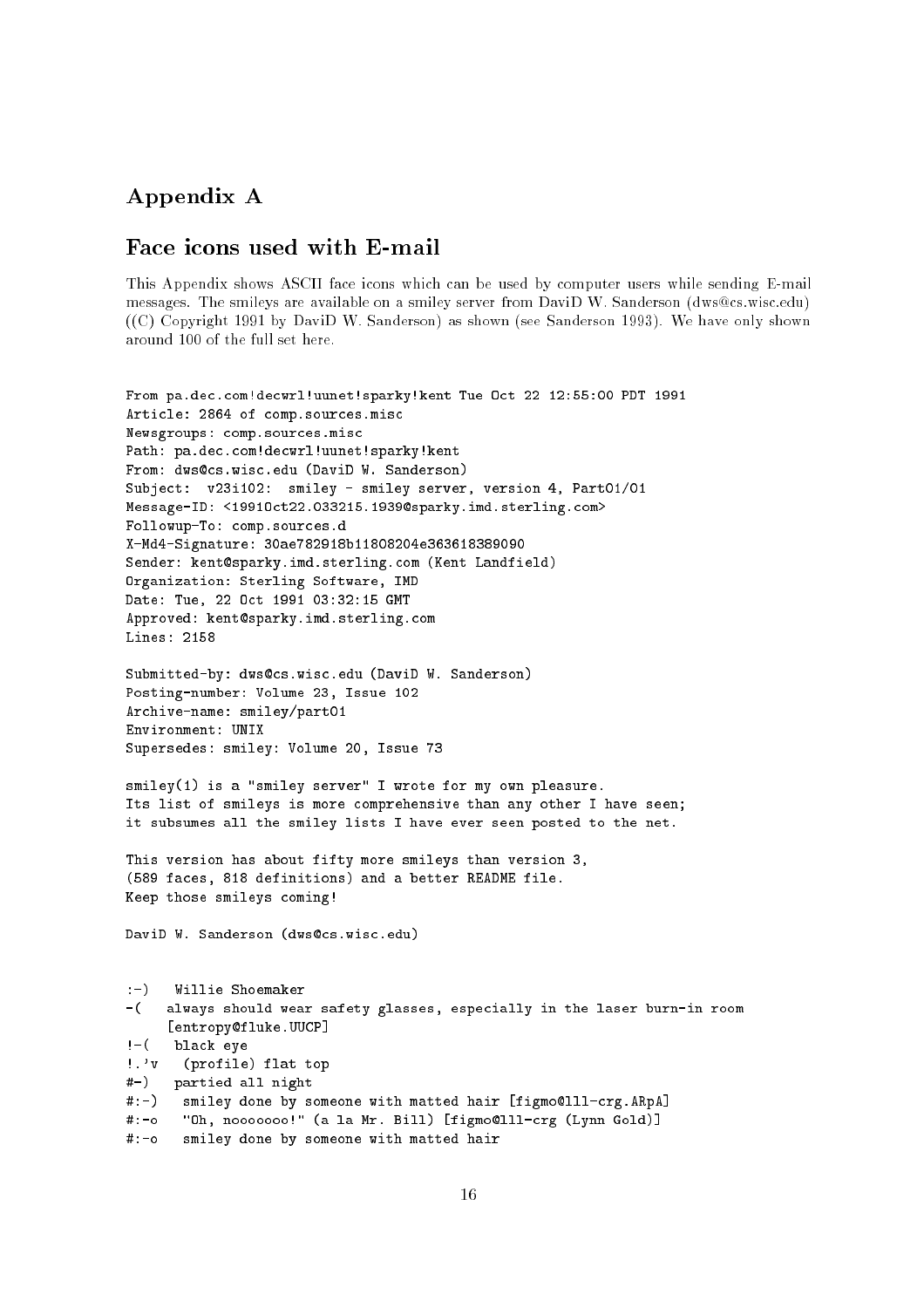### Appendix A

### Face icons used with E-mail

This Appendix shows ASCII face icons which can be used by computer users while sending E-mail messages. The smileys are available on a smiley server from DaviD W. Sanderson (dws@cs.wisc.edu) ((C) Copyright 1991 by DaviD W. Sanderson) as shown (see Sanderson 1993). We have only shown around 100 of the full set here.

```
From pa.dec.com!decwrl!uunet!sparky!kent Tue Oct 22 12:55:00 PDT 1991
Article: 2864 of comp.sources.misc
Newsgroups: comp.sources.misc
Path: pa.dec.com!decwrl!uunet!sparky!kent
From: dws@cs.wisc.edu (DaviD W. Sanderson)
Subject: v23i102: smiley - smiley server, version 4, Part01/01
Message-ID: <1991Oct22.033215.1939@sparky.imd.sterling.com>
Followup-To: comp.sources.d
X-Md4-Signature: 30ae782918b11808204e363618389090
Sender: kent@sparky.imd.sterling.com (Kent Landfield)
Organization: Sterling Software, IMD
Date: Tue, 22 Oct 1991 03:32:15 GMT
Approved: kent@sparky.imd.sterling.com
Lines: 2158
Submitted-by: dws@cs.wisc.edu (DaviD W. Sanderson)
Posting-number: Volume 23, Issue 102
Archive-name: smiley/part01
Environment: UNIX
Supersedes: smiley: Volume 20, Issue 73
smiley(1) is a "smiley server" I wrote for my own pleasure.
Its list of smileys is more comprehensive than any other I have seen;
it subsumes all the smiley lists I have ever seen posted to the net.
This version has about fifty more smileys than version 3,
(589 faces, 818 definitions) and a better README file.
Keep those smileys coming!
DaviD W. Sanderson (dws@cs.wisc.edu)
\cdot - )
     Willie Shoemaker
-( always should wear safety glasses, especially in the laser burn-in room
     [entropy@fluke.UUCP]
!-( black eye
!.'v (profile) flat top
\#- )partied all night
#:-) smiley done by someone with matted hair [figmo@lll-crg.ARpA]
#:-o "Oh, nooooooo!" (a la Mr. Bill) [figmo@lll-crg (Lynn Gold)]
#:-o smiley done by someone with matted hair
```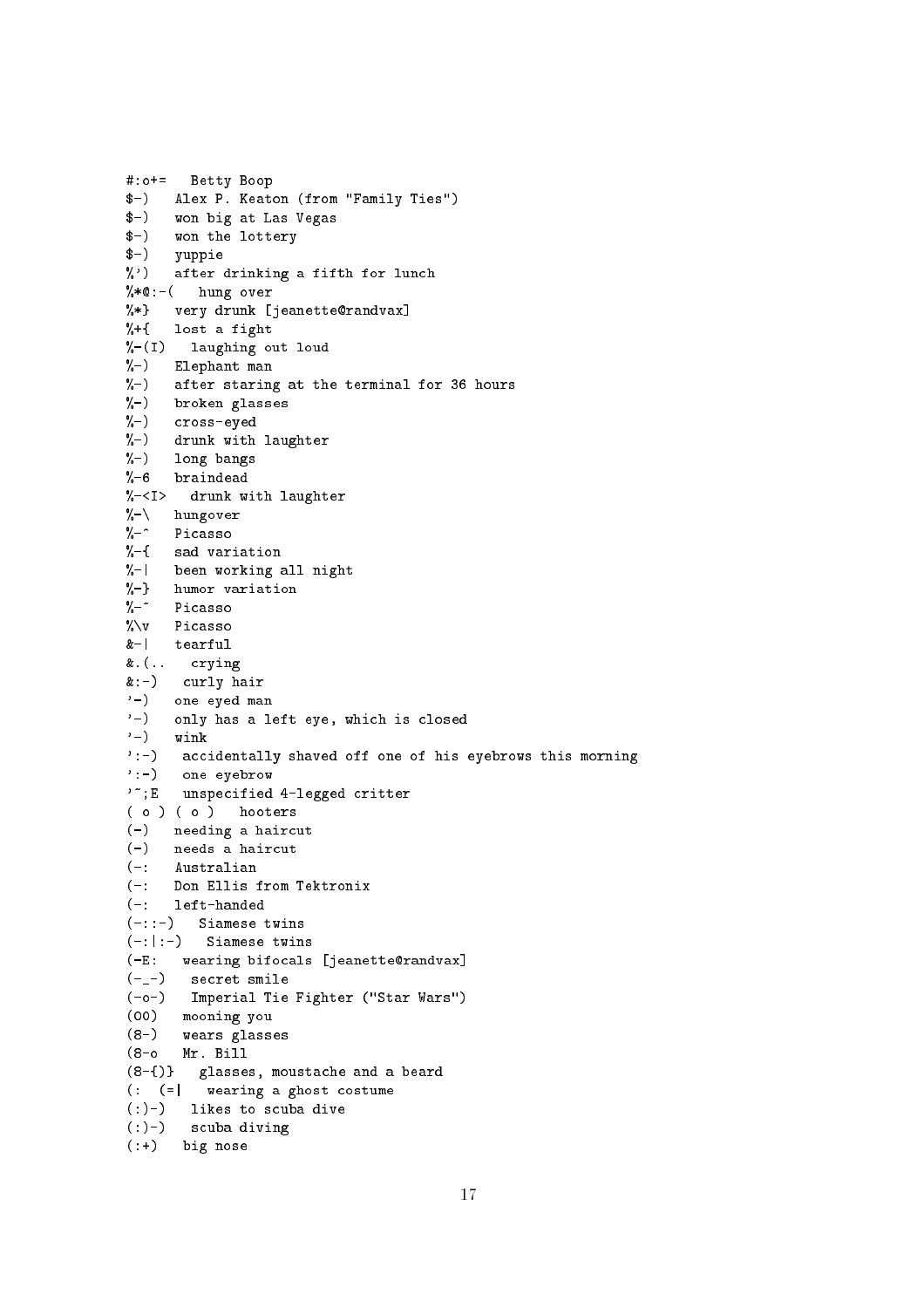#:o+= Betty Boop \$-) Alex P. Keaton (from "Family Ties") \$-) won big at Las Vegas \$-) won the lottery \$-) yuppie  $\langle \rangle'$ ) after drinking a fifth for lunch  $\frac{9}{6}*@:-($  hung over %\*} very drunk [jeanette@randvax] %+{ lost a fight %-(I) laughing out loud %-) Elephant man %-) after staring at the terminal for 36 hours %-) broken glasses %-) cross-eyed %-) drunk with laughter %-) long bangs %-6 braindead %-<I> drunk with laughter  $\sqrt[6]{-1}$  hungover %-^ Picasso %-{ sad variation %-| been working all night %-} humor variation  $\frac{y}{x}$  -Picasso %-~ Picasso %\v Picasso &-| tearful &.(.. crying &:-) curly hair '-) one eyed man '-) only has a left eye, which is closed  $'$ -) wink ':-) accidentally shaved off one of his eyebrows this morning ':-) one eyebrow '~;E unspecified 4-legged critter ( o ) ( o ) hooters (-) needing a haircut (-) needs a haircut (-: Australian (-: Don Ellis from Tektronix (-: left-handed (-::-) Siamese twins (-:|:-) Siamese twins (-E: wearing bifocals [jeanette@randvax] (-\_-) secret smile (-o-) Imperial Tie Fighter ("Star Wars") (00) mooning you (8-) wears glasses (8-o Mr. Bill (8-{)} glasses, moustache and a beard (: (=| wearing a ghost costume (:)-) likes to scuba dive (:)-) scuba diving (:+) big nose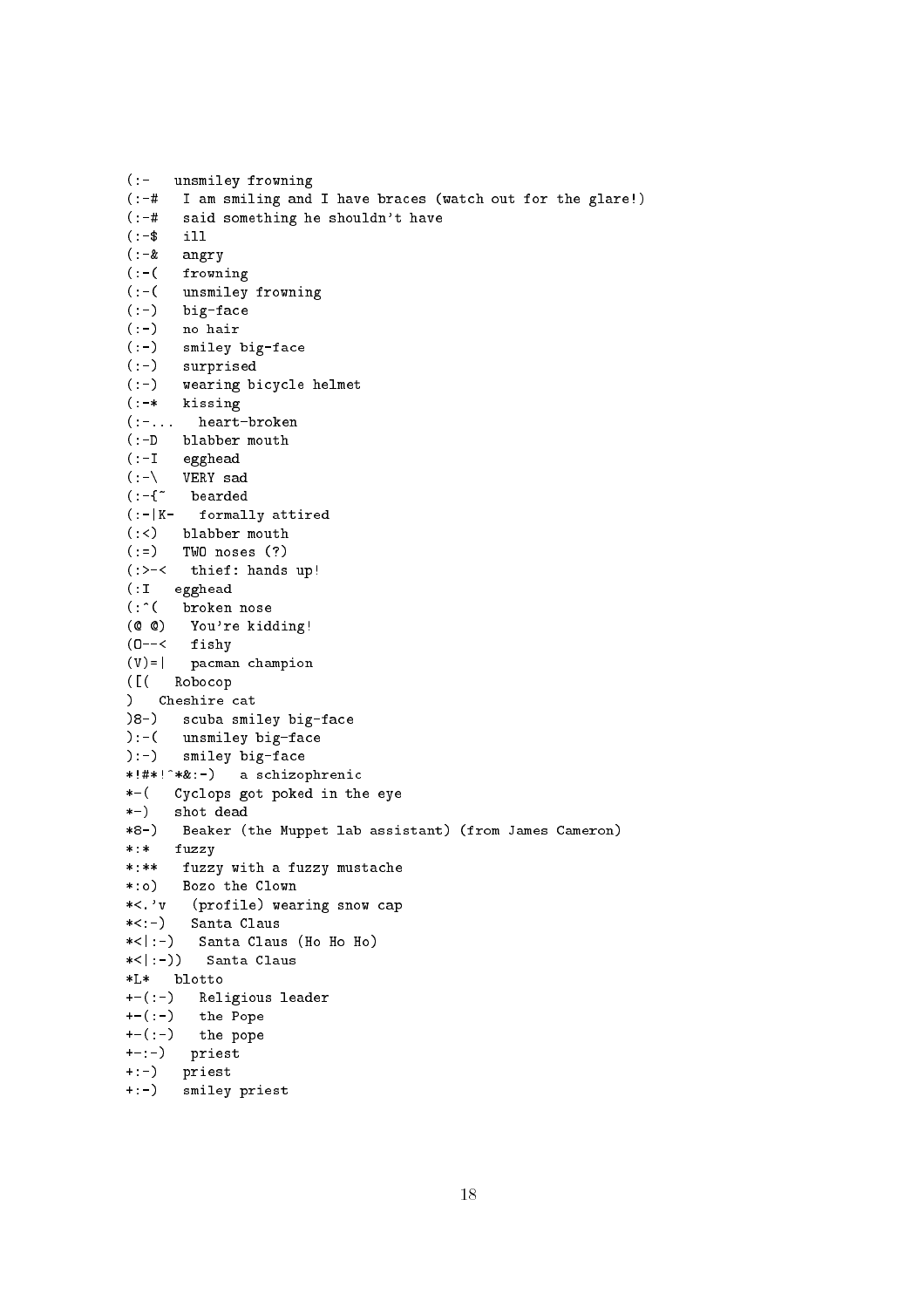(:- unsmiley frowning (:-# I am smiling and I have braces (watch out for the glare!) (:-# said something he shouldn't have (:-\$ ill (:-& angry (:-( frowning (:-( unsmiley frowning (:-) big-face (:-) no hair (:-) smiley big-face (:-) surprised (:-) wearing bicycle helmet (:-\* kissing (:-... heart-broken (:-D blabber mouth (:-I egghead (:-\ VERY sad (:-{~ bearded (:-|K- formally attired (:<) blabber mouth (:=) TWO noses (?) (:>-< thief: hands up! (:I egghead (:^( broken nose (@ @) You're kidding! (O--< fishy (V)=| pacman champion ([( Robocop ) Cheshire cat )8-) scuba smiley big-face ):-( unsmiley big-face ):-) smiley big-face \*!#\*!^\*&:-) a schizophrenic \*-( Cyclops got poked in the eye \*-) shot dead \*8-) Beaker (the Muppet lab assistant) (from James Cameron) \*:\* fuzzy \*:\*\* fuzzy with a fuzzy mustache \*:o) Bozo the Clown \*<.'v (profile) wearing snow cap \*<:-) Santa Claus \*<|:-) Santa Claus (Ho Ho Ho) \*<|:-)) Santa Claus \*L\* blotto +-(:-) Religious leader +-(:-) the Pope +-(:-) the pope +-:-) priest +:-) priest +:-) smiley priest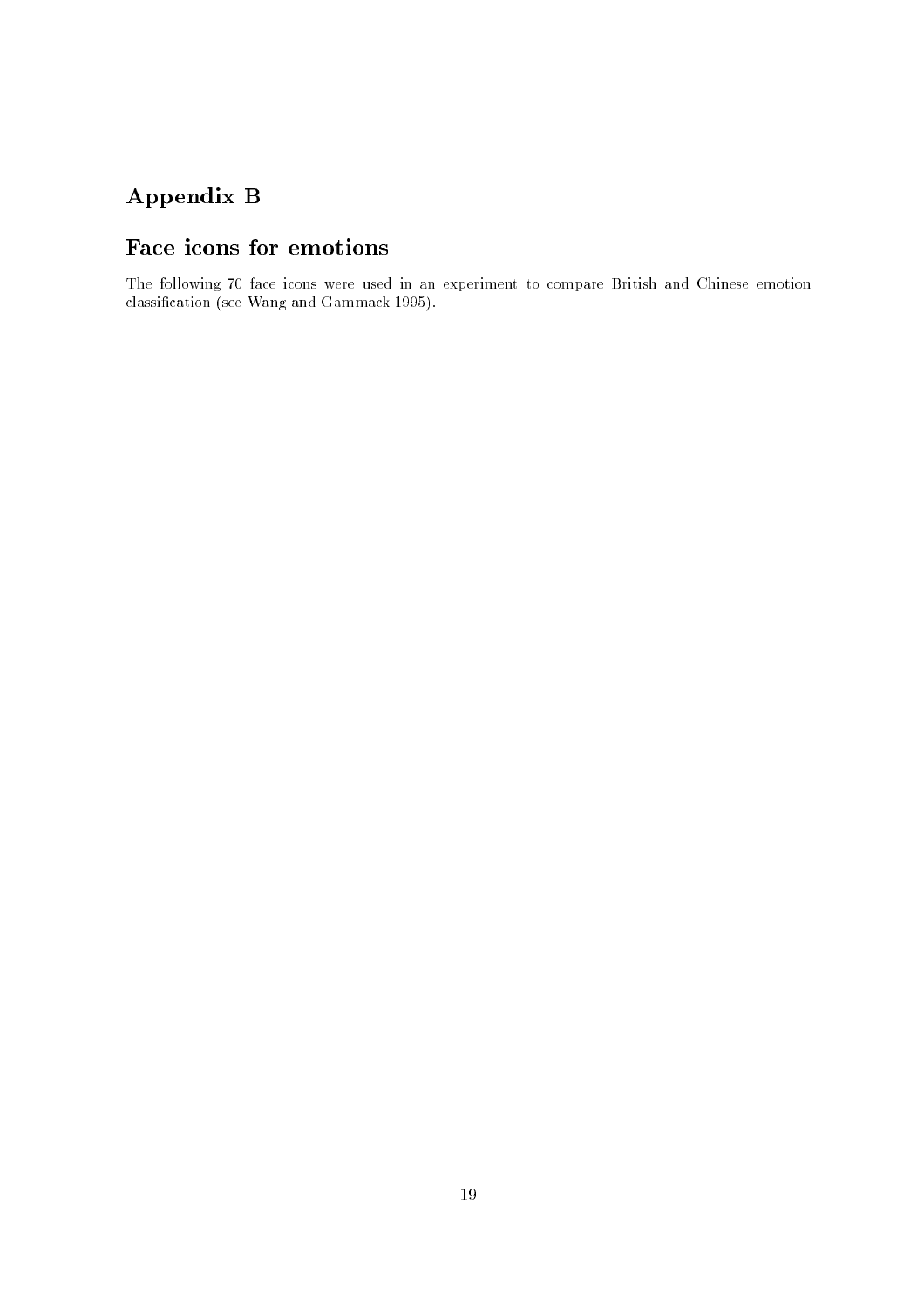# Appendix B

# Face icons for emotions

The following 70 face icons were used in an experiment to compare British and Chinese emotion classication (see Wang and Gammack 1995).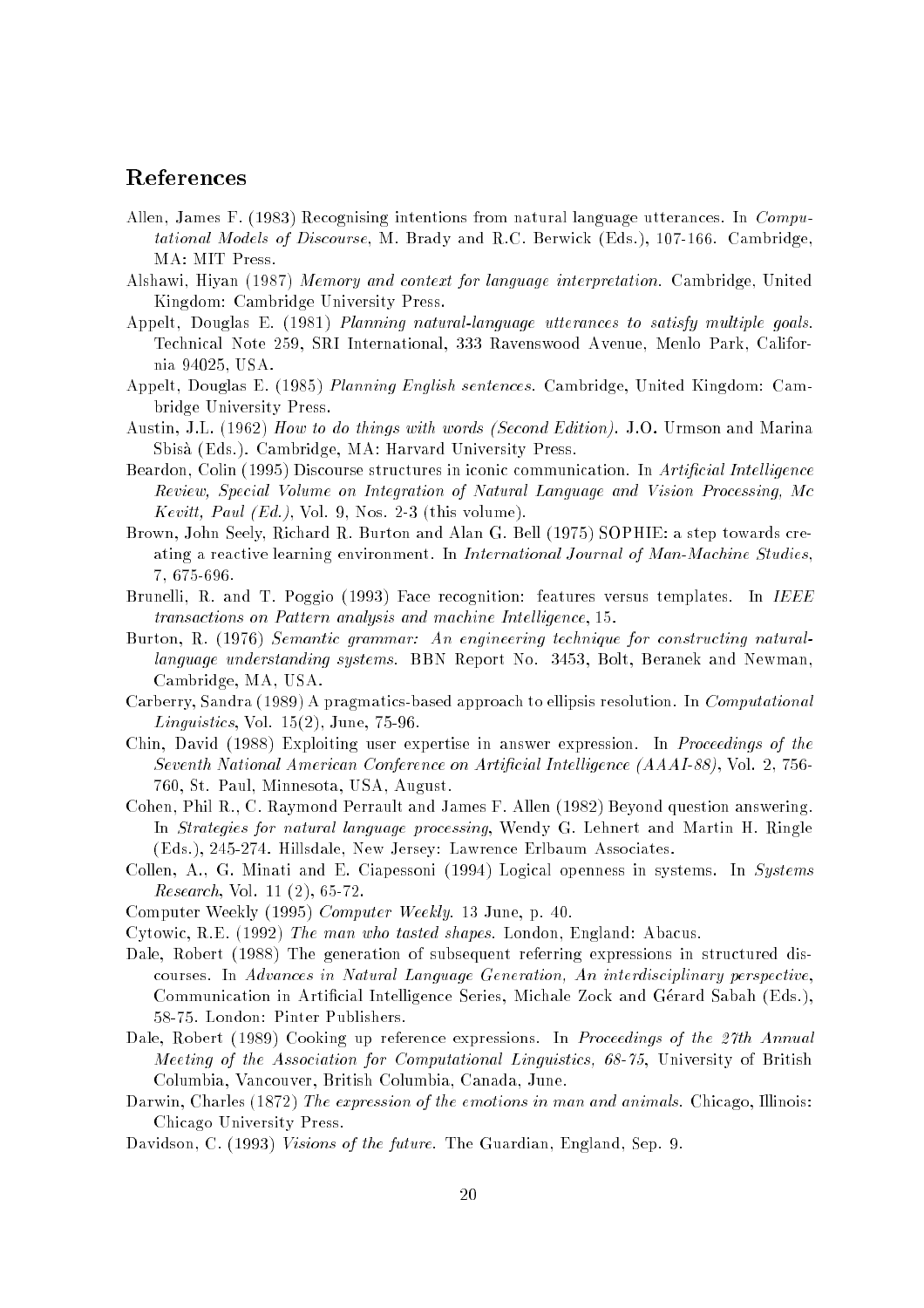### References

- Allen, James F. (1983) Recognising intentions from natural language utterances. In Computational Models of Discourse, M. Brady and R.C. Berwick (Eds.), 107-166. Cambridge, MA: MIT Press.
- Alshawi, Hiyan (1987) Memory and context for language interpretation. Cambridge, United Kingdom: Cambridge University Press.
- Appelt, Douglas E. (1981) Planning natural-language utterances to satisfy multiple goals. Technical Note 259, SRI International, 333 Ravenswood Avenue, Menlo Park, California 94025, USA.
- Appelt, Douglas E. (1985) Planning English sentences. Cambridge, United Kingdom: Cambridge University Press.
- Austin, J.L. (1962) How to do things with words (Second Edition). J.O. Urmson and Marina Sbisa (Eds.). Cambridge, MA: Harvard University Press.
- Beardon, Colin (1995) Discourse structures in iconic communication. In Artificial Intelligence Review, Special Volume on Integration of Natural Language and Vision Processing, Mc Kevitt, Paul (Ed.), Vol. 9, Nos. 2-3 (this volume).
- Brown, John Seely, Richard R. Burton and Alan G. Bell (1975) SOPHIE: a step towards creating a reactive learning environment. In International Journal of Man-Machine Studies, 7, 675-696.
- Brunelli, R. and T. Poggio (1993) Face recognition: features versus templates. In IEEE transactions on Pattern analysis and machine Intelligence, 15.
- Burton, R. (1976) Semantic grammar: An engineering technique for constructing naturallanguage understanding systems. BBN Report No. 3453, Bolt, Beranek and Newman, Cambridge, MA, USA.
- Carberry, Sandra (1989) A pragmatics-based approach to ellipsis resolution. In Computational Linguistics, Vol.  $15(2)$ , June, 75-96.
- Chin, David (1988) Exploiting user expertise in answer expression. In Proceedings of the Seventh National American Conference on Artificial Intelligence (AAAI-88), Vol. 2, 756-760, St. Paul, Minnesota, USA, August.
- Cohen, Phil R., C. Raymond Perrault and James F. Allen (1982) Beyond question answering. In Strategies for natural language processing, Wendy G. Lehnert and Martin H. Ringle (Eds.), 245-274. Hillsdale, New Jersey: Lawrence Erlbaum Associates.
- Collen, A., G. Minati and E. Ciapessoni (1994) Logical openness in systems. In Systems Research, Vol. 11 (2), 65-72.
- Computer Weekly (1995) Computer Weekly. 13 June, p. 40.
- Cytowic, R.E. (1992) The man who tasted shapes. London, England: Abacus.
- Dale, Robert (1988) The generation of subsequent referring expressions in structured discourses. In Advances in Natural Language Generation, An interdisciplinary perspective, Communication in Artificial Intelligence Series, Michale Zock and Gérard Sabah (Eds.), 58-75. London: Pinter Publishers.
- Dale, Robert (1989) Cooking up reference expressions. In Proceedings of the 27th Annual Meeting of the Association for Computational Linguistics, 68-75, University of British Columbia, Vancouver, British Columbia, Canada, June.
- Darwin, Charles (1872) The expression of the emotions in man and animals. Chicago, Illinois: Chicago University Press.
- Davidson, C. (1993) *Visions of the future*. The Guardian, England, Sep. 9.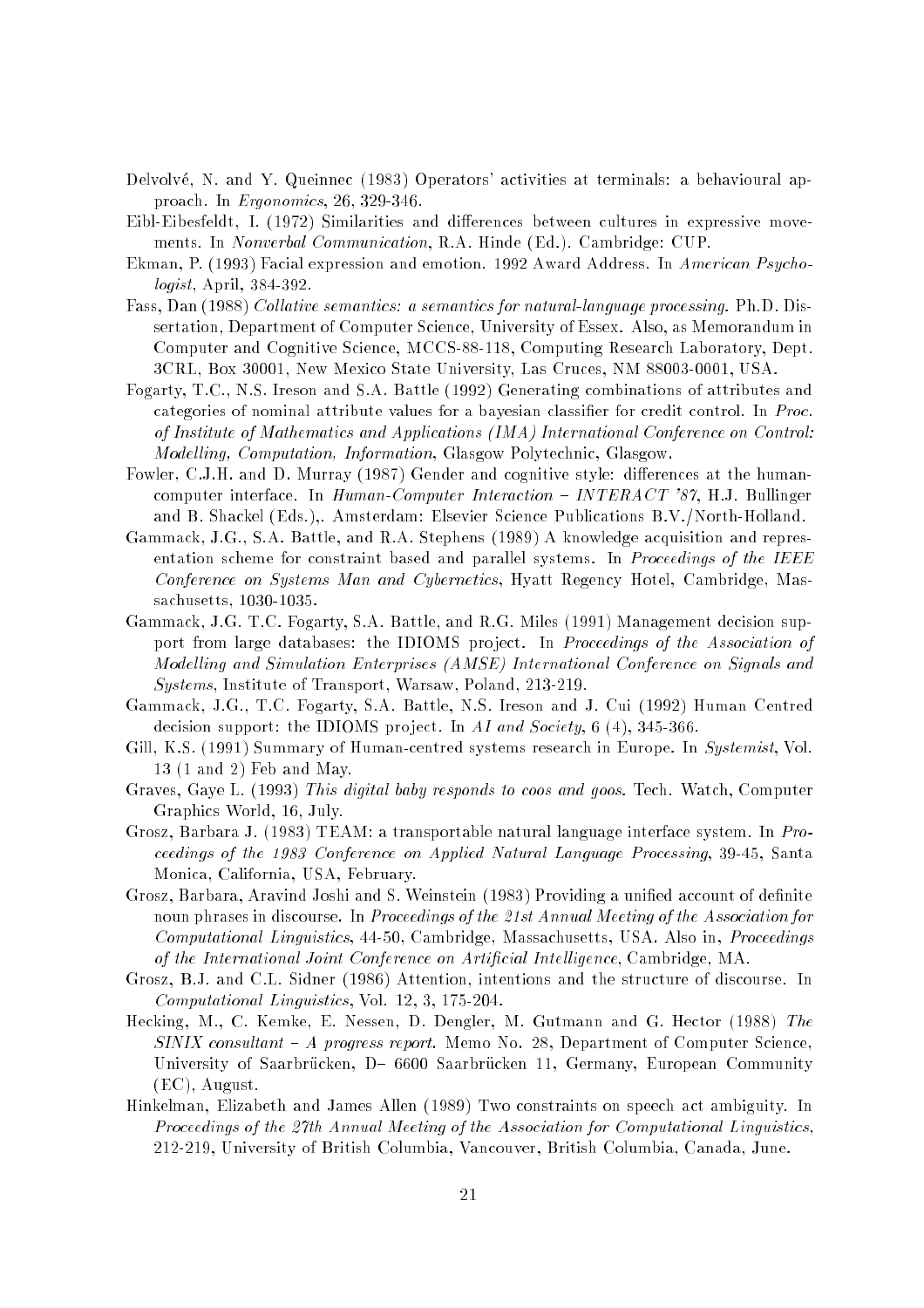- Delvolvé, N. and Y. Queinnec (1983) Operators' activities at terminals: a behavioural approach. In Ergonomics, 26, 329-346.
- Eibl-Eibesfeldt, I. (1972) Similarities and differences between cultures in expressive movements. In Nonverbal Communication, R.A. Hinde (Ed.). Cambridge: CUP.
- Ekman, P. (1993) Facial expression and emotion. 1992 Award Address. In American Psychologist, April, 384-392.
- Fass, Dan (1988) Collative semantics: a semantics for natural-language processing. Ph.D. Dissertation, Department of Computer Science, University of Essex. Also, as Memorandum in Computer and Cognitive Science, MCCS-88-118, Computing Research Laboratory, Dept. 3CRL, Box 30001, New Mexico State University, Las Cruces, NM 88003-0001, USA.
- Fogarty, T.C., N.S. Ireson and S.A. Battle (1992) Generating combinations of attributes and categories of nominal attribute values for a bayesian classifier for credit control. In *Proc.* of Institute of Mathematics and Applications (IMA) International Conference on Control: Modelling, Computation, Information, Glasgow Polytechnic, Glasgow.
- Fowler, C.J.H. and D. Murray (1987) Gender and cognitive style: differences at the humancomputer interface. In Human-Computer Interaction  $-$  INTERACT '87, H.J. Bullinger and B. Shackel (Eds.),. Amsterdam: Elsevier Science Publications B.V./North-Holland.
- Gammack, J.G., S.A. Battle, and R.A. Stephens (1989) A knowledge acquisition and representation scheme for constraint based and parallel systems. In *Proceedings of the IEEE* Conference on Systems Man and Cybernetics, Hyatt Regency Hotel, Cambridge, Massachusetts, 1030-1035.
- Gammack, J.G. T.C. Fogarty, S.A. Battle, and R.G. Miles (1991) Management decision support from large databases: the IDIOMS project. In Proceedings of the Association of Modelling and Simulation Enterprises (AMSE) International Conference on Signals and Systems, Institute of Transport, Warsaw, Poland, 213-219.
- Gammack, J.G., T.C. Fogarty, S.A. Battle, N.S. Ireson and J. Cui (1992) Human Centred decision support: the IDIOMS project. In AI and Society,  $6(4)$ , 345-366.
- Gill, K.S. (1991) Summary of Human-centred systems research in Europe. In Systemist, Vol. 13 (1 and 2) Feb and May.
- Graves, Gaye L. (1993) This digital baby responds to coos and goos. Tech. Watch, Computer Graphics World, 16, July.
- Grosz, Barbara J. (1983) TEAM: a transportable natural language interface system. In Proceedings of the 1983 Conference on Applied Natural Language Processing, 39-45, Santa Monica, California, USA, February.
- Grosz, Barbara, Aravind Joshi and S. Weinstein (1983) Providing a unified account of definite noun phrases in discourse. In Proceedings of the 21st Annual Meeting of the Association for Computational Linguistics, 44-50, Cambridge, Massachusetts, USA. Also in, Proceedings of the International Joint Conference on Artificial Intelligence, Cambridge, MA.
- Grosz, B.J. and C.L. Sidner (1986) Attention, intentions and the structure of discourse. In Computational Linguistics, Vol. 12, 3, 175-204.
- Hecking, M., C. Kemke, E. Nessen, D. Dengler, M. Gutmann and G. Hector (1988) The  $SINIX$  consultant  $- A$  progress report. Memo No. 28, Department of Computer Science, University of Saarbrücken, D- 6600 Saarbrücken 11, Germany, European Community (EC), August.
- Hinkelman, Elizabeth and James Allen (1989) Two constraints on speech act ambiguity. In Proceedings of the 27th Annual Meeting of the Association for Computational Linguistics, 212-219, University of British Columbia, Vancouver, British Columbia, Canada, June.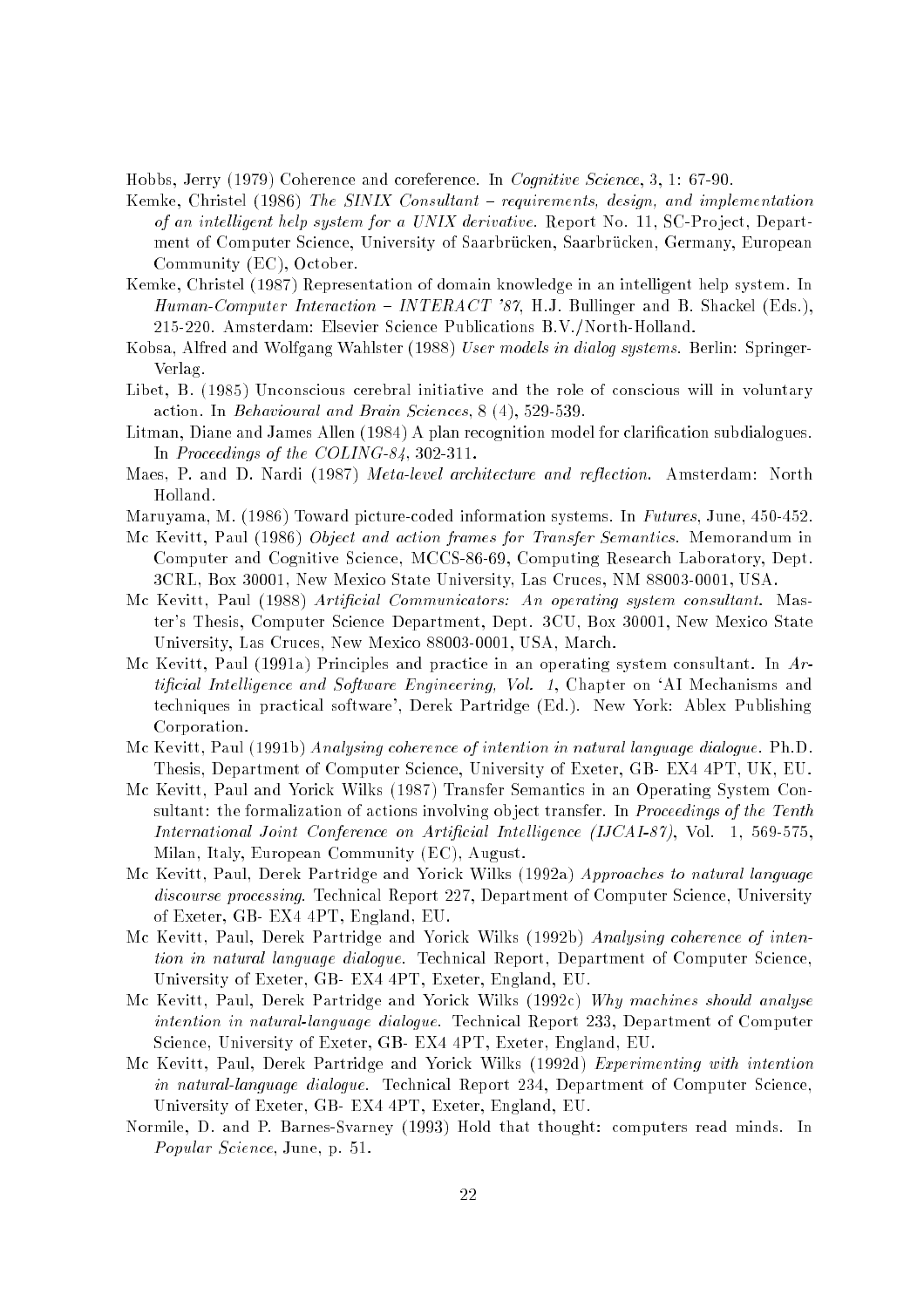Hobbs, Jerry (1979) Coherence and coreference. In Cognitive Science, 3, 1: 67-90.

- Kemke, Christel (1986) The SINIX Consultant requirements, design, and implementation of an intelligent help system for a UNIX derivative. Report No. 11, SC-Project, Department of Computer Science, University of Saarbrucken, Saarbrucken, Germany, European Community (EC), October.
- Kemke, Christel (1987) Representation of domain knowledge in an intelligent help system. In Human-Computer Interaction - INTERACT '87, H.J. Bullinger and B. Shackel (Eds.), 215-220. Amsterdam: Elsevier Science Publications B.V./North-Holland.
- Kobsa, Alfred and Wolfgang Wahlster (1988) User models in dialog systems. Berlin: Springer-Verlag.
- Libet, B. (1985) Unconscious cerebral initiative and the role of conscious will in voluntary action. In Behavioural and Brain Sciences, 8 (4), 529-539.
- Litman, Diane and James Allen (1984) A plan recognition model for clarification subdialogues. In Proceedings of the COLING-84, 302-311.
- Maes, P. and D. Nardi (1987) Meta-level architecture and reflection. Amsterdam: North Holland.
- Maruyama, M. (1986) Toward picture-coded information systems. In Futures, June, 450-452.
- Mc Kevitt, Paul (1986) Object and action frames for Transfer Semantics. Memorandum in Computer and Cognitive Science, MCCS-86-69, Computing Research Laboratory, Dept. 3CRL, Box 30001, New Mexico State University, Las Cruces, NM 88003-0001, USA.
- Mc Kevitt, Paul (1988) Artificial Communicators: An operating system consultant. Master's Thesis, Computer Science Department, Dept. 3CU, Box 30001, New Mexico State University, Las Cruces, New Mexico 88003-0001, USA, March.
- Mc Kevitt, Paul (1991a) Principles and practice in an operating system consultant. In  $Ar$ tificial Intelligence and Software Engineering, Vol. 1, Chapter on 'AI Mechanisms and techniques in practical software', Derek Partridge (Ed.). New York: Ablex Publishing Corporation.
- Mc Kevitt, Paul (1991b) Analysing coherence of intention in natural language dialogue. Ph.D. Thesis, Department of Computer Science, University of Exeter, GB- EX4 4PT, UK, EU.
- Mc Kevitt, Paul and Yorick Wilks (1987) Transfer Semantics in an Operating System Consultant: the formalization of actions involving object transfer. In *Proceedings of the Tenth* International Joint Conference on Artificial Intelligence  $(IJCAI-87)$ , Vol. 1, 569-575, Milan, Italy, European Community (EC), August.
- Mc Kevitt, Paul, Derek Partridge and Yorick Wilks (1992a) Approaches to natural language discourse processing. Technical Report 227, Department of Computer Science, University of Exeter, GB- EX4 4PT, England, EU.
- Mc Kevitt, Paul, Derek Partridge and Yorick Wilks (1992b) Analysing coherence of intention in natural language dialogue. Technical Report, Department of Computer Science, University of Exeter, GB- EX4 4PT, Exeter, England, EU.
- Mc Kevitt, Paul, Derek Partridge and Yorick Wilks (1992c) Why machines should analyse intention in natural-language dialogue. Technical Report 233, Department of Computer Science, University of Exeter, GB- EX4 4PT, Exeter, England, EU.
- Mc Kevitt, Paul, Derek Partridge and Yorick Wilks (1992d) Experimenting with intention in natural-language dialogue. Technical Report 234, Department of Computer Science, University of Exeter, GB- EX4 4PT, Exeter, England, EU.
- Normile, D. and P. Barnes-Svarney (1993) Hold that thought: computers read minds. In Popular Science, June, p. 51.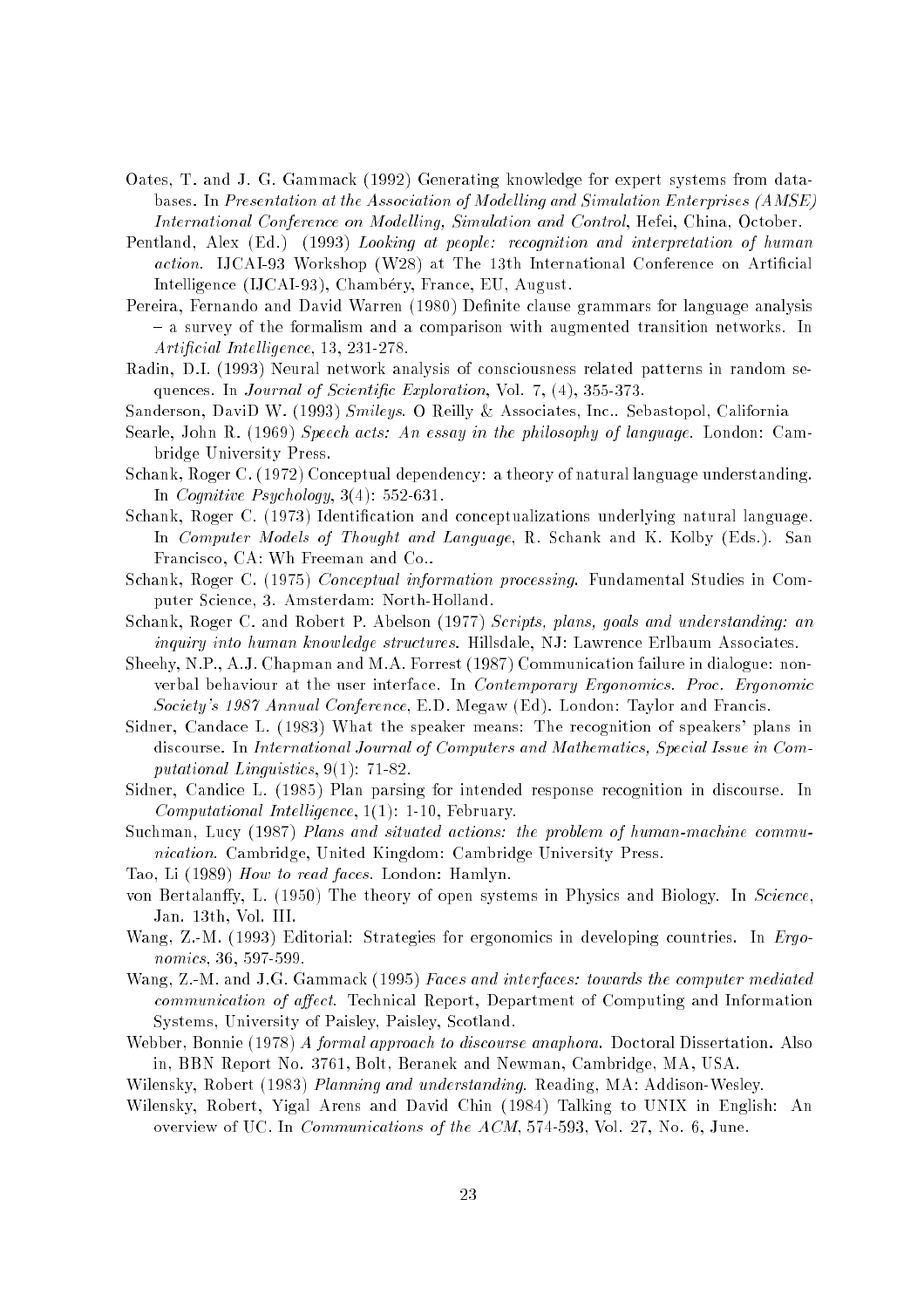- Oates, T. and J. G. Gammack (1992) Generating knowledge for expert systems from databases. In Presentation at the Association of Modelling and Simulation Enterprises (AMSE) International Conference on Modelling, Simulation and Control, Hefei, China, October.
- Pentland, Alex (Ed.) (1993) Looking at people: recognition and interpretation of human action. IJCAI-93 Workshop (W28) at The 13th International Conference on Artificial Intelligence (IJCAI-93), Chambéry, France, EU, August.
- Pereira, Fernando and David Warren (1980) Definite clause grammars for language analysis  $-$  a survey of the formalism and a comparison with augmented transition networks. In Artificial Intelligence, 13, 231-278.
- Radin, D.I. (1993) Neural network analysis of consciousness related patterns in random sequences. In *Journal of Scientific Exploration*, Vol. 7, (4), 355-373.
- Sanderson, DaviD W. (1993) Smileys. O Reilly & Associates, Inc.. Sebastopol, California
- Searle, John R. (1969) Speech acts: An essay in the philosophy of language. London: Cambridge University Press.
- Schank, Roger C. (1972) Conceptual dependency: a theory of natural language understanding. In *Cognitive Psychology*,  $3(4)$ : 552-631.
- Schank, Roger C. (1973) Identification and conceptualizations underlying natural language. In Computer Models of Thought and Language, R. Schank and K. Kolby (Eds.). San Francisco, CA: Wh Freeman and Co..
- Schank, Roger C. (1975) Conceptual information processing. Fundamental Studies in Computer Science, 3. Amsterdam: North-Holland.
- Schank, Roger C. and Robert P. Abelson (1977) Scripts, plans, goals and understanding: an inquiry into human knowledge structures. Hillsdale, NJ: Lawrence Erlbaum Associates.
- Sheehy, N.P., A.J. Chapman and M.A. Forrest (1987) Communication failure in dialogue: nonverbal behaviour at the user interface. In Contemporary Ergonomics. Proc. Ergonomic Society's 1987 Annual Conference, E.D. Megaw (Ed). London: Taylor and Francis.
- Sidner, Candace L. (1983) What the speaker means: The recognition of speakers' plans in discourse. In International Journal of Computers and Mathematics, Special Issue in Computational Linguistics, 9(1): 71-82.
- Sidner, Candice L. (1985) Plan parsing for intended response recognition in discourse. In Computational Intelligence,  $1(1)$ : 1-10, February.
- Suchman, Lucy (1987) Plans and situated actions: the problem of human-machine communication. Cambridge, United Kingdom: Cambridge University Press.
- Tao, Li (1989) How to read faces. London: Hamlyn.
- von Bertalanffy, L. (1950) The theory of open systems in Physics and Biology. In Science, Jan. 13th, Vol. III.
- Wang, Z.-M. (1993) Editorial: Strategies for ergonomics in developing countries. In *Ergo*nomics, 36, 597-599.
- Wang, Z.-M. and J.G. Gammack (1995) Faces and interfaces: towards the computer mediated communication of affect. Technical Report, Department of Computing and Information Systems, University of Paisley, Paisley, Scotland.
- Webber, Bonnie (1978) A formal approach to discourse anaphora. Doctoral Dissertation. Also in, BBN Report No. 3761, Bolt, Beranek and Newman, Cambridge, MA, USA.
- Wilensky, Robert (1983) Planning and understanding. Reading, MA: Addison-Wesley.
- Wilensky, Robert, Yigal Arens and David Chin (1984) Talking to UNIX in English: An overview of UC. In Communications of the ACM, 574-593, Vol. 27, No. 6, June.